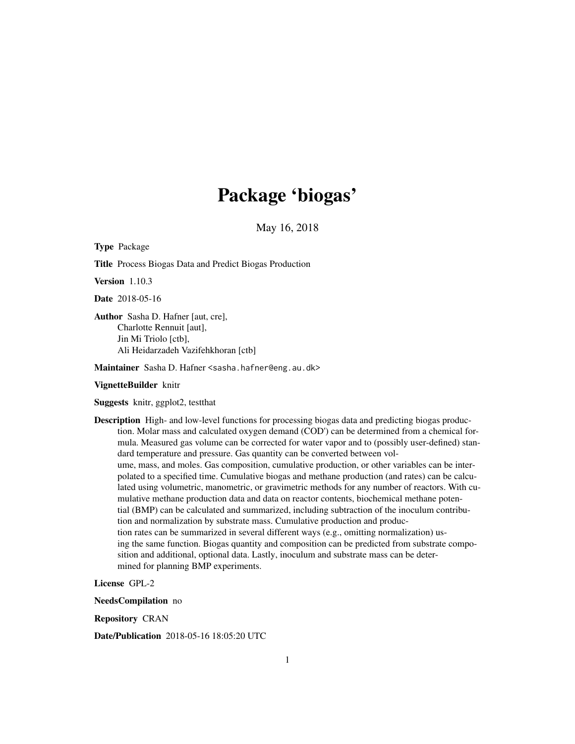# Package 'biogas'

May 16, 2018

<span id="page-0-0"></span>Type Package

Title Process Biogas Data and Predict Biogas Production

Version 1.10.3

Date 2018-05-16

Author Sasha D. Hafner [aut, cre], Charlotte Rennuit [aut], Jin Mi Triolo [ctb], Ali Heidarzadeh Vazifehkhoran [ctb]

Maintainer Sasha D. Hafner <sasha.hafner@eng.au.dk>

#### VignetteBuilder knitr

Suggests knitr, ggplot2, testthat

Description High- and low-level functions for processing biogas data and predicting biogas production. Molar mass and calculated oxygen demand (COD') can be determined from a chemical formula. Measured gas volume can be corrected for water vapor and to (possibly user-defined) standard temperature and pressure. Gas quantity can be converted between volume, mass, and moles. Gas composition, cumulative production, or other variables can be interpolated to a specified time. Cumulative biogas and methane production (and rates) can be calculated using volumetric, manometric, or gravimetric methods for any number of reactors. With cumulative methane production data and data on reactor contents, biochemical methane potential (BMP) can be calculated and summarized, including subtraction of the inoculum contribution and normalization by substrate mass. Cumulative production and production rates can be summarized in several different ways (e.g., omitting normalization) using the same function. Biogas quantity and composition can be predicted from substrate composition and additional, optional data. Lastly, inoculum and substrate mass can be determined for planning BMP experiments.

License GPL-2

NeedsCompilation no

Repository CRAN

Date/Publication 2018-05-16 18:05:20 UTC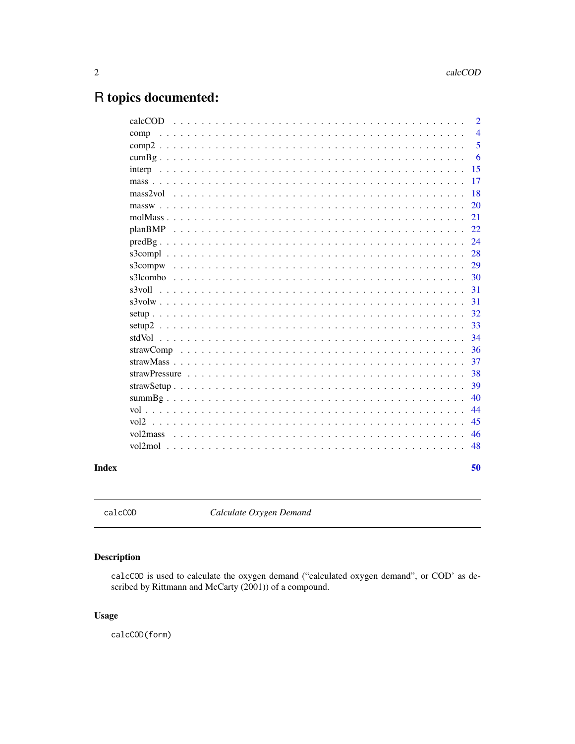## <span id="page-1-0"></span>R topics documented:

|                                                                                                                                                                                                                                | 50             |
|--------------------------------------------------------------------------------------------------------------------------------------------------------------------------------------------------------------------------------|----------------|
| vol2mol<br><u>. In the second product of the second product of the second product of the second product</u>                                                                                                                    | 48             |
|                                                                                                                                                                                                                                |                |
| vol2mass                                                                                                                                                                                                                       | 46             |
|                                                                                                                                                                                                                                | 45             |
|                                                                                                                                                                                                                                | 44             |
|                                                                                                                                                                                                                                | 40             |
|                                                                                                                                                                                                                                | 39             |
|                                                                                                                                                                                                                                | 38             |
|                                                                                                                                                                                                                                | 37             |
|                                                                                                                                                                                                                                | 36             |
| $setup2$                                                                                                                                                                                                                       | 34             |
|                                                                                                                                                                                                                                | 32<br>33       |
|                                                                                                                                                                                                                                | 31             |
| s3voll                                                                                                                                                                                                                         | 31             |
|                                                                                                                                                                                                                                | 30             |
| s3compw                                                                                                                                                                                                                        | 29             |
|                                                                                                                                                                                                                                | 28             |
|                                                                                                                                                                                                                                | 24             |
|                                                                                                                                                                                                                                | 22             |
|                                                                                                                                                                                                                                | 21             |
| massweep and contain a series of the container and container and container and container and container and containing the containing of the containing of the containing of the containing of the containing of the containing | 20             |
|                                                                                                                                                                                                                                | 18             |
|                                                                                                                                                                                                                                | 17             |
|                                                                                                                                                                                                                                | 15             |
|                                                                                                                                                                                                                                | 6              |
|                                                                                                                                                                                                                                | 5              |
| comp                                                                                                                                                                                                                           | $\overline{4}$ |
| calcCOD                                                                                                                                                                                                                        | $\overline{2}$ |

#### **Index**

<span id="page-1-1"></span>calcCOD

Calculate Oxygen Demand

### Description

calcCOD is used to calculate the oxygen demand ("calculated oxygen demand", or COD' as described by Rittmann and McCarty (2001)) of a compound.

#### **Usage**

calcCOD(form)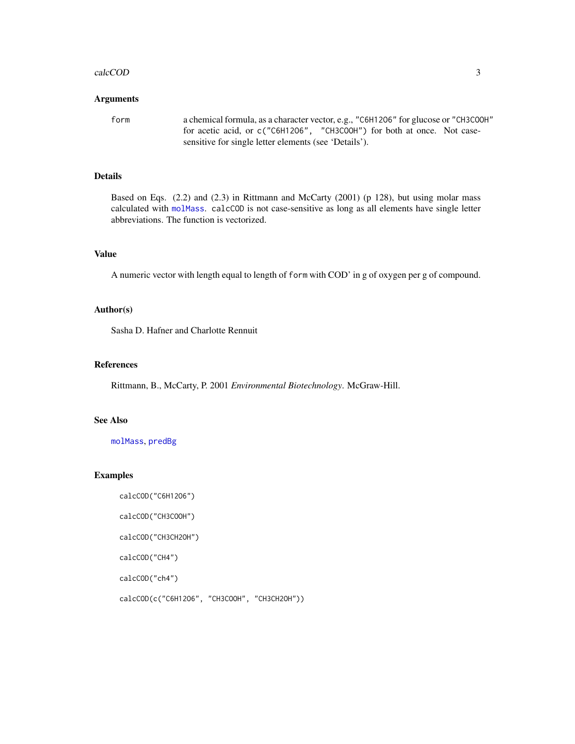#### <span id="page-2-0"></span>calcCOD 3

#### Arguments

form a chemical formula, as a character vector, e.g., "C6H12O6" for glucose or "CH3COOH" for acetic acid, or c("C6H12O6", "CH3COOH") for both at once. Not casesensitive for single letter elements (see 'Details').

#### Details

Based on Eqs. (2.2) and (2.3) in Rittmann and McCarty (2001) (p 128), but using molar mass calculated with [molMass](#page-20-1). calcCOD is not case-sensitive as long as all elements have single letter abbreviations. The function is vectorized.

#### Value

A numeric vector with length equal to length of form with COD' in g of oxygen per g of compound.

#### Author(s)

Sasha D. Hafner and Charlotte Rennuit

#### References

Rittmann, B., McCarty, P. 2001 *Environmental Biotechnology*. McGraw-Hill.

#### See Also

[molMass](#page-20-1), [predBg](#page-23-1)

#### Examples

calcCOD("C6H12O6")

calcCOD("CH3COOH")

calcCOD("CH3CH2OH")

calcCOD("CH4")

calcCOD("ch4")

calcCOD(c("C6H12O6", "CH3COOH", "CH3CH2OH"))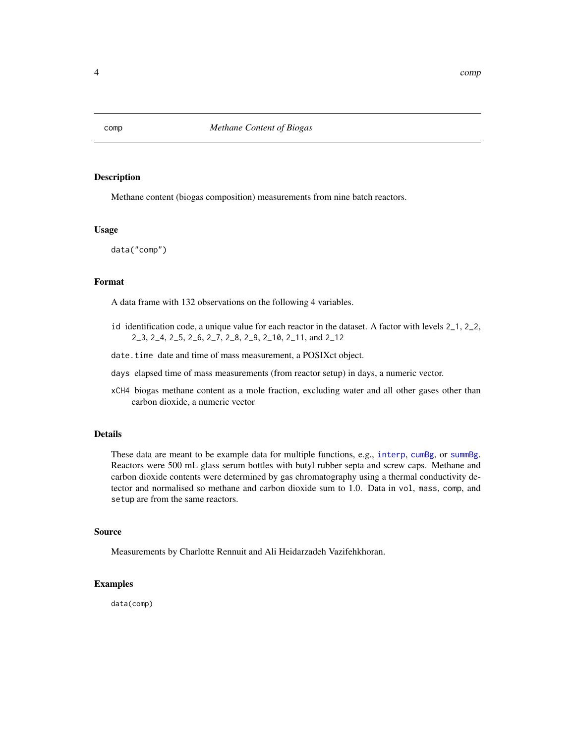<span id="page-3-0"></span>

Methane content (biogas composition) measurements from nine batch reactors.

#### Usage

data("comp")

#### Format

A data frame with 132 observations on the following 4 variables.

- id identification code, a unique value for each reactor in the dataset. A factor with levels 2\_1, 2\_2, 2\_3, 2\_4, 2\_5, 2\_6, 2\_7, 2\_8, 2\_9, 2\_10, 2\_11, and 2\_12
- date.time date and time of mass measurement, a POSIXct object.
- days elapsed time of mass measurements (from reactor setup) in days, a numeric vector.
- xCH4 biogas methane content as a mole fraction, excluding water and all other gases other than carbon dioxide, a numeric vector

#### Details

These data are meant to be example data for multiple functions, e.g., [interp](#page-14-1), [cumBg](#page-5-1), or [summBg](#page-39-1). Reactors were 500 mL glass serum bottles with butyl rubber septa and screw caps. Methane and carbon dioxide contents were determined by gas chromatography using a thermal conductivity detector and normalised so methane and carbon dioxide sum to 1.0. Data in vol, mass, comp, and setup are from the same reactors.

#### Source

Measurements by Charlotte Rennuit and Ali Heidarzadeh Vazifehkhoran.

#### Examples

data(comp)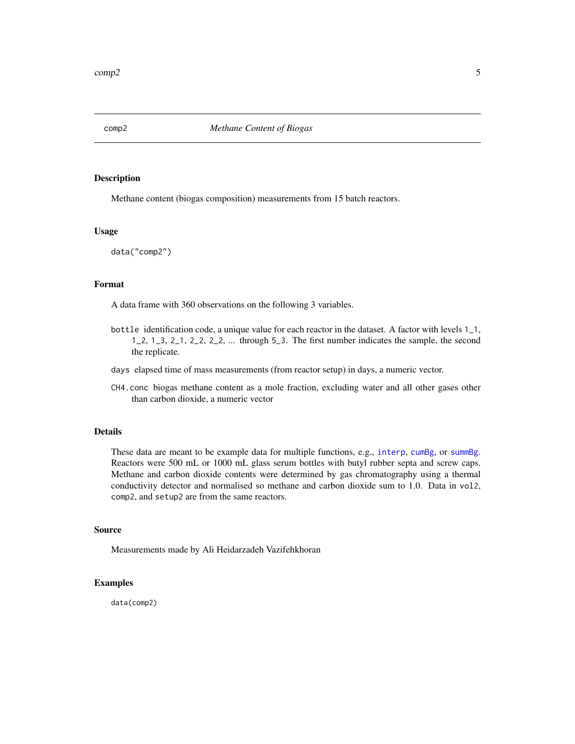<span id="page-4-0"></span>

Methane content (biogas composition) measurements from 15 batch reactors.

#### Usage

data("comp2")

#### Format

A data frame with 360 observations on the following 3 variables.

- bottle identification code, a unique value for each reactor in the dataset. A factor with levels 1\_1, 1\_2, 1\_3, 2\_1, 2\_2, 2\_2, ... through 5\_3. The first number indicates the sample, the second the replicate.
- days elapsed time of mass measurements (from reactor setup) in days, a numeric vector.
- CH4.conc biogas methane content as a mole fraction, excluding water and all other gases other than carbon dioxide, a numeric vector

#### Details

These data are meant to be example data for multiple functions, e.g., [interp](#page-14-1), [cumBg](#page-5-1), or [summBg](#page-39-1). Reactors were 500 mL or 1000 mL glass serum bottles with butyl rubber septa and screw caps. Methane and carbon dioxide contents were determined by gas chromatography using a thermal conductivity detector and normalised so methane and carbon dioxide sum to 1.0. Data in vol2, comp2, and setup2 are from the same reactors.

#### Source

Measurements made by Ali Heidarzadeh Vazifehkhoran

#### Examples

data(comp2)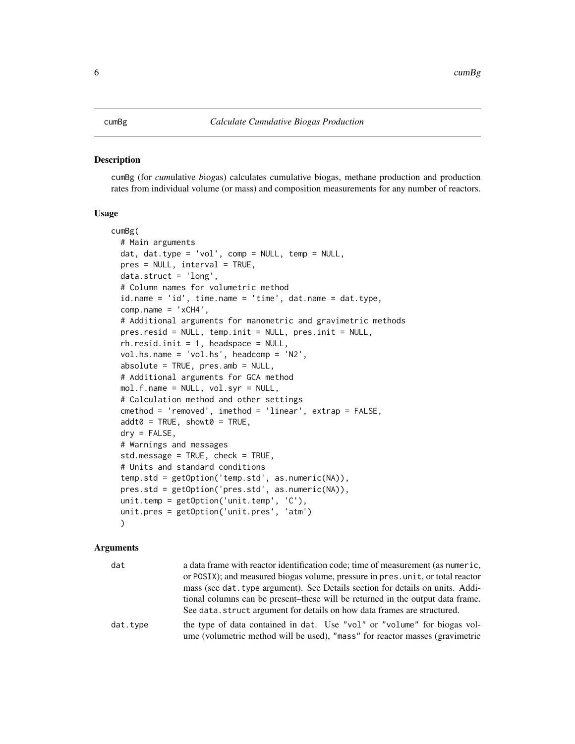<span id="page-5-1"></span><span id="page-5-0"></span>cumBg (for *cum*ulative *b*io*g*as) calculates cumulative biogas, methane production and production rates from individual volume (or mass) and composition measurements for any number of reactors.

#### Usage

```
cumBg(
  # Main arguments
  dat, dat.type = 'vol', comp = NULL, temp = NULL,
 pres = NULL, interval = TRUE,
  data.struct = 'long',
  # Column names for volumetric method
  id.name = 'id', time.name = 'time', dat.name = dat.type,
  comp.name = 'xCH4',# Additional arguments for manometric and gravimetric methods
  pres.resid = NULL, temp.init = NULL, pres.init = NULL,
  rh.resid.init = 1, headspace = NULL,
  vol.hs.name = 'vol.hs', headcomp = 'N2',
  absolute = TRUE, pres.amb = NULL,
  # Additional arguments for GCA method
  mol.f.name = NULL, vol.syr = NULL,
  # Calculation method and other settings
  cmethod = 'removed', imethod = 'linear', extrap = FALSE,
  addt0 = TRUE, showt0 = TRUE,dry = FALSE,# Warnings and messages
  std.message = TRUE, check = TRUE,
  # Units and standard conditions
  temp.std = getOption('temp.std', as.numeric(NA)),
 pres.std = getOption('pres.std', as.numeric(NA)),
  unit.temp = getOption('unit.temp', 'C'),
  unit.pres = getOption('unit.pres', 'atm')
  )
```
#### Arguments

| dat      | a data frame with reactor identification code; time of measurement (as numeric, |
|----------|---------------------------------------------------------------------------------|
|          | or POSIX); and measured biogas volume, pressure in pres. unit, or total reactor |
|          | mass (see dat. type argument). See Details section for details on units. Addi-  |
|          | tional columns can be present-these will be returned in the output data frame.  |
|          | See data.struct argument for details on how data frames are structured.         |
| dat.type | the type of data contained in dat. Use "vol" or "volume" for biogas vol-        |
|          | ume (volumetric method will be used), "mass" for reactor masses (gravimetric    |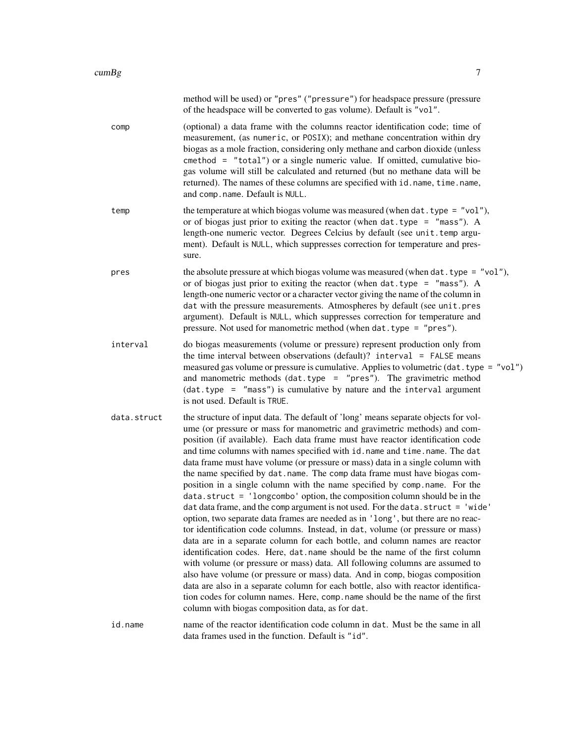|             | method will be used) or "pres" ("pressure") for headspace pressure (pressure<br>of the headspace will be converted to gas volume). Default is "vol".                                                                                                                                                                                                                                                                                                                                                                                                                                                                                                                                                                                                                                                                                                                                                                                                                                                                                                                                                                                                                                                                                                                                                                                                                                                                                                                        |
|-------------|-----------------------------------------------------------------------------------------------------------------------------------------------------------------------------------------------------------------------------------------------------------------------------------------------------------------------------------------------------------------------------------------------------------------------------------------------------------------------------------------------------------------------------------------------------------------------------------------------------------------------------------------------------------------------------------------------------------------------------------------------------------------------------------------------------------------------------------------------------------------------------------------------------------------------------------------------------------------------------------------------------------------------------------------------------------------------------------------------------------------------------------------------------------------------------------------------------------------------------------------------------------------------------------------------------------------------------------------------------------------------------------------------------------------------------------------------------------------------------|
| comp        | (optional) a data frame with the columns reactor identification code; time of<br>measurement, (as numeric, or POSIX); and methane concentration within dry<br>biogas as a mole fraction, considering only methane and carbon dioxide (unless<br>cmethod = "total") or a single numeric value. If omitted, cumulative bio-<br>gas volume will still be calculated and returned (but no methane data will be<br>returned). The names of these columns are specified with id. name, time. name,<br>and comp.name. Default is NULL.                                                                                                                                                                                                                                                                                                                                                                                                                                                                                                                                                                                                                                                                                                                                                                                                                                                                                                                                             |
| temp        | the temperature at which biogas volume was measured (when $dat. type = "vol"),$<br>or of biogas just prior to exiting the reactor (when $dat. type = "mass").$ A<br>length-one numeric vector. Degrees Celcius by default (see unit.temp argu-<br>ment). Default is NULL, which suppresses correction for temperature and pres-<br>sure.                                                                                                                                                                                                                                                                                                                                                                                                                                                                                                                                                                                                                                                                                                                                                                                                                                                                                                                                                                                                                                                                                                                                    |
| pres        | the absolute pressure at which biogas volume was measured (when $\text{dat. type} = "vol"),$<br>or of biogas just prior to exiting the reactor (when $dat. type = "mass").$ A<br>length-one numeric vector or a character vector giving the name of the column in<br>dat with the pressure measurements. Atmospheres by default (see unit.pres<br>argument). Default is NULL, which suppresses correction for temperature and<br>pressure. Not used for manometric method (when dat. type = "pres").                                                                                                                                                                                                                                                                                                                                                                                                                                                                                                                                                                                                                                                                                                                                                                                                                                                                                                                                                                        |
| interval    | do biogas measurements (volume or pressure) represent production only from<br>the time interval between observations (default)? interval = FALSE means<br>measured gas volume or pressure is cumulative. Applies to volumetric (dat. type = "vol")<br>and manometric methods $(data-type = "pres").$ The gravimetric method<br>(dat.type = "mass") is cumulative by nature and the interval argument<br>is not used. Default is TRUE.                                                                                                                                                                                                                                                                                                                                                                                                                                                                                                                                                                                                                                                                                                                                                                                                                                                                                                                                                                                                                                       |
| data.struct | the structure of input data. The default of 'long' means separate objects for vol-<br>ume (or pressure or mass for manometric and gravimetric methods) and com-<br>position (if available). Each data frame must have reactor identification code<br>and time columns with names specified with id. name and time. name. The dat<br>data frame must have volume (or pressure or mass) data in a single column with<br>the name specified by dat.name. The comp data frame must have biogas com-<br>position in a single column with the name specified by comp.name. For the<br>data.struct = 'longcombo' option, the composition column should be in the<br>dat data frame, and the comp argument is not used. For the data.struct = 'wide'<br>option, two separate data frames are needed as in 'long', but there are no reac-<br>tor identification code columns. Instead, in dat, volume (or pressure or mass)<br>data are in a separate column for each bottle, and column names are reactor<br>identification codes. Here, dat .name should be the name of the first column<br>with volume (or pressure or mass) data. All following columns are assumed to<br>also have volume (or pressure or mass) data. And in comp, biogas composition<br>data are also in a separate column for each bottle, also with reactor identifica-<br>tion codes for column names. Here, comp. name should be the name of the first<br>column with biogas composition data, as for dat. |
| id.name     | name of the reactor identification code column in dat. Must be the same in all<br>data frames used in the function. Default is "id".                                                                                                                                                                                                                                                                                                                                                                                                                                                                                                                                                                                                                                                                                                                                                                                                                                                                                                                                                                                                                                                                                                                                                                                                                                                                                                                                        |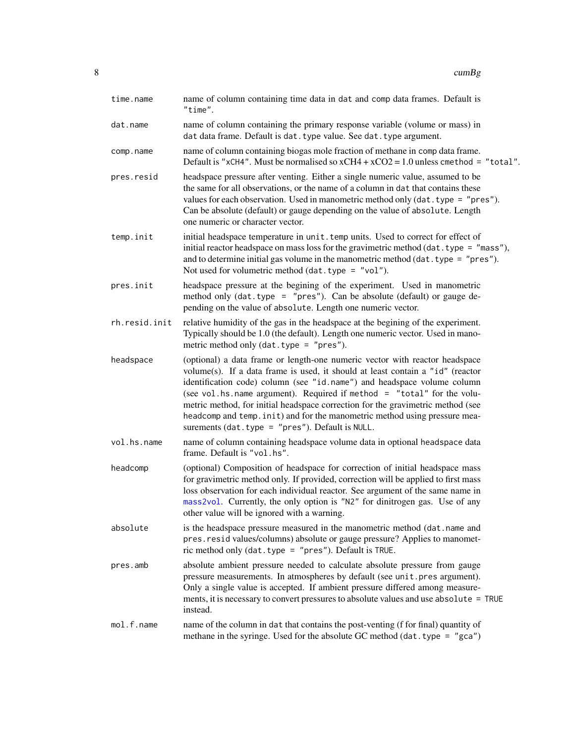<span id="page-7-0"></span>

| time.name     | name of column containing time data in dat and comp data frames. Default is<br>"time".                                                                                                                                                                                                                                                                                                                                                                                                                                                     |
|---------------|--------------------------------------------------------------------------------------------------------------------------------------------------------------------------------------------------------------------------------------------------------------------------------------------------------------------------------------------------------------------------------------------------------------------------------------------------------------------------------------------------------------------------------------------|
| dat.name      | name of column containing the primary response variable (volume or mass) in<br>dat data frame. Default is dat. type value. See dat. type argument.                                                                                                                                                                                                                                                                                                                                                                                         |
| comp.name     | name of column containing biogas mole fraction of methane in comp data frame.<br>Default is "xCH4". Must be normalised so $xCH4 + xCO2 = 1.0$ unless cmethod = "total".                                                                                                                                                                                                                                                                                                                                                                    |
| pres.resid    | headspace pressure after venting. Either a single numeric value, assumed to be<br>the same for all observations, or the name of a column in dat that contains these<br>values for each observation. Used in manometric method only (dat. type = "pres").<br>Can be absolute (default) or gauge depending on the value of absolute. Length<br>one numeric or character vector.                                                                                                                                                              |
| temp.init     | initial headspace temperature in unit. temp units. Used to correct for effect of<br>initial reactor headspace on mass loss for the gravimetric method (dat. type = $"mass",$<br>and to determine initial gas volume in the manometric method $(data, type = "pres").$<br>Not used for volumetric method $(data, type = "vol").$                                                                                                                                                                                                            |
| pres.init     | headspace pressure at the begining of the experiment. Used in manometric<br>method only $(data, type = "pres").$ Can be absolute $(default)$ or gauge de-<br>pending on the value of absolute. Length one numeric vector.                                                                                                                                                                                                                                                                                                                  |
| rh.resid.init | relative humidity of the gas in the headspace at the begining of the experiment.<br>Typically should be 1.0 (the default). Length one numeric vector. Used in mano-<br>metric method only $(data-type = "pres").$                                                                                                                                                                                                                                                                                                                          |
| headspace     | (optional) a data frame or length-one numeric vector with reactor headspace<br>volume(s). If a data frame is used, it should at least contain a "id" (reactor<br>identification code) column (see "id.name") and headspace volume column<br>(see vol.hs.name argument). Required if method = "total" for the volu-<br>metric method, for initial headspace correction for the gravimetric method (see<br>headcomp and temp. init) and for the manometric method using pressure mea-<br>surements $(data, type = "pres").$ Default is NULL. |
| vol.hs.name   | name of column containing headspace volume data in optional headspace data<br>frame. Default is "vol.hs".                                                                                                                                                                                                                                                                                                                                                                                                                                  |
| headcomp      | (optional) Composition of headspace for correction of initial headspace mass<br>for gravimetric method only. If provided, correction will be applied to first mass<br>loss observation for each individual reactor. See argument of the same name in<br>mass2vol. Currently, the only option is "N2" for dinitrogen gas. Use of any<br>other value will be ignored with a warning.                                                                                                                                                         |
| absolute      | is the headspace pressure measured in the manometric method (dat.name and<br>pres.resid values/columns) absolute or gauge pressure? Applies to manomet-<br>ric method only (dat.type = "pres"). Default is TRUE.                                                                                                                                                                                                                                                                                                                           |
| pres.amb      | absolute ambient pressure needed to calculate absolute pressure from gauge<br>pressure measurements. In atmospheres by default (see unit.pres argument).<br>Only a single value is accepted. If ambient pressure differed among measure-<br>ments, it is necessary to convert pressures to absolute values and use absolute = TRUE<br>instead.                                                                                                                                                                                             |
| mol.f.name    | name of the column in dat that contains the post-venting (f for final) quantity of<br>methane in the syringe. Used for the absolute GC method (dat. type = "gca")                                                                                                                                                                                                                                                                                                                                                                          |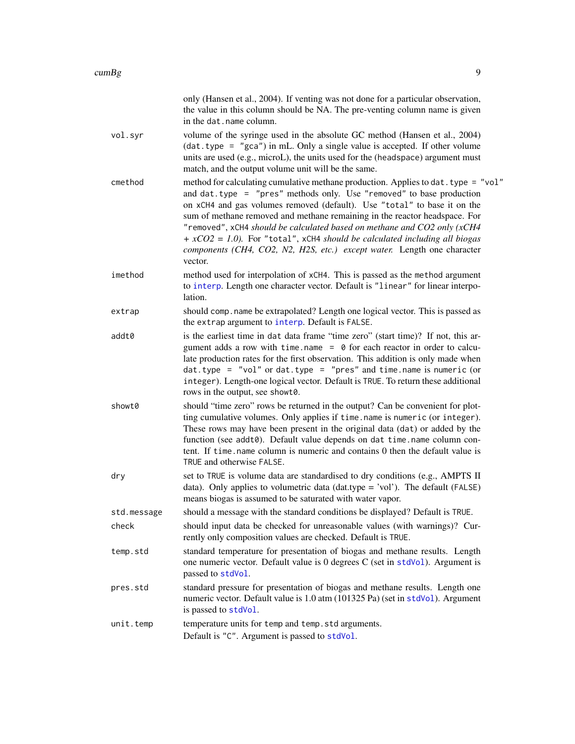<span id="page-8-0"></span>

|             | only (Hansen et al., 2004). If venting was not done for a particular observation,<br>the value in this column should be NA. The pre-venting column name is given<br>in the dat. name column.                                                                                                                                                                                                                                                                                                                                                                                 |
|-------------|------------------------------------------------------------------------------------------------------------------------------------------------------------------------------------------------------------------------------------------------------------------------------------------------------------------------------------------------------------------------------------------------------------------------------------------------------------------------------------------------------------------------------------------------------------------------------|
| vol.syr     | volume of the syringe used in the absolute GC method (Hansen et al., 2004)<br>$(data-type = "gca")$ in mL. Only a single value is accepted. If other volume<br>units are used (e.g., microL), the units used for the (headspace) argument must<br>match, and the output volume unit will be the same.                                                                                                                                                                                                                                                                        |
| cmethod     | method for calculating cumulative methane production. Applies to $dat. type = "vol"$<br>and $dat. type = "pres" methods only. Use "removed" to base production$<br>on xCH4 and gas volumes removed (default). Use "total" to base it on the<br>sum of methane removed and methane remaining in the reactor headspace. For<br>"removed", xCH4 should be calculated based on methane and CO2 only (xCH4<br>$+ xCO2 = 1.0$ ). For "total", xCH4 should be calculated including all biogas<br>components (CH4, CO2, N2, H2S, etc.) except water. Length one character<br>vector. |
| imethod     | method used for interpolation of xCH4. This is passed as the method argument<br>to interp. Length one character vector. Default is "linear" for linear interpo-<br>lation.                                                                                                                                                                                                                                                                                                                                                                                                   |
| extrap      | should comp. name be extrapolated? Length one logical vector. This is passed as<br>the extrap argument to interp. Default is FALSE.                                                                                                                                                                                                                                                                                                                                                                                                                                          |
| addt0       | is the earliest time in dat data frame "time zero" (start time)? If not, this ar-<br>gument adds a row with time.name = $\theta$ for each reactor in order to calcu-<br>late production rates for the first observation. This addition is only made when<br>$dat. type = "vol"$ or $dat. type = "pres"$ and time. name is numeric (or<br>integer). Length-one logical vector. Default is TRUE. To return these additional<br>rows in the output, see showt0.                                                                                                                 |
| showt0      | should "time zero" rows be returned in the output? Can be convenient for plot-<br>ting cumulative volumes. Only applies if time.name is numeric (or integer).<br>These rows may have been present in the original data (dat) or added by the<br>function (see addt0). Default value depends on dat time.name column con-<br>tent. If time name column is numeric and contains 0 then the default value is<br>TRUE and otherwise FALSE.                                                                                                                                       |
| dry         | set to TRUE is volume data are standardised to dry conditions (e.g., AMPTS II<br>data). Only applies to volumetric data (dat.type = 'vol'). The default (FALSE)<br>means biogas is assumed to be saturated with water vapor.                                                                                                                                                                                                                                                                                                                                                 |
| std.message | should a message with the standard conditions be displayed? Default is TRUE.                                                                                                                                                                                                                                                                                                                                                                                                                                                                                                 |
| check       | should input data be checked for unreasonable values (with warnings)? Cur-<br>rently only composition values are checked. Default is TRUE.                                                                                                                                                                                                                                                                                                                                                                                                                                   |
| temp.std    | standard temperature for presentation of biogas and methane results. Length<br>one numeric vector. Default value is 0 degrees C (set in stdVol). Argument is<br>passed to stdVol.                                                                                                                                                                                                                                                                                                                                                                                            |
| pres.std    | standard pressure for presentation of biogas and methane results. Length one<br>numeric vector. Default value is 1.0 atm (101325 Pa) (set in stdVol). Argument<br>is passed to stdVol.                                                                                                                                                                                                                                                                                                                                                                                       |
| unit.temp   | temperature units for temp and temp. std arguments.<br>Default is "C". Argument is passed to stdVol.                                                                                                                                                                                                                                                                                                                                                                                                                                                                         |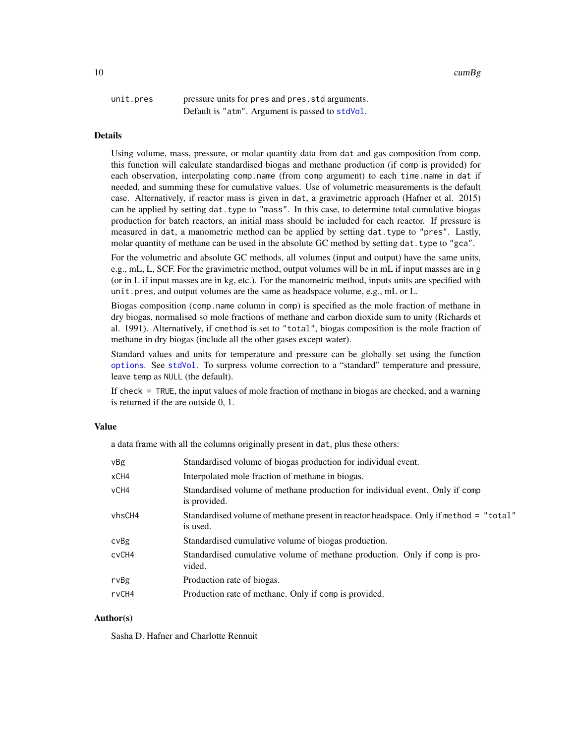<span id="page-9-0"></span>

| unit.pres | pressure units for pres and pres. std arguments. |
|-----------|--------------------------------------------------|
|           | Default is "atm". Argument is passed to stdVol.  |

#### Details

Using volume, mass, pressure, or molar quantity data from dat and gas composition from comp, this function will calculate standardised biogas and methane production (if comp is provided) for each observation, interpolating comp.name (from comp argument) to each time.name in dat if needed, and summing these for cumulative values. Use of volumetric measurements is the default case. Alternatively, if reactor mass is given in dat, a gravimetric approach (Hafner et al. 2015) can be applied by setting dat.type to "mass". In this case, to determine total cumulative biogas production for batch reactors, an initial mass should be included for each reactor. If pressure is measured in dat, a manometric method can be applied by setting dat.type to "pres". Lastly, molar quantity of methane can be used in the absolute GC method by setting dat.type to "gca".

For the volumetric and absolute GC methods, all volumes (input and output) have the same units, e.g., mL, L, SCF. For the gravimetric method, output volumes will be in mL if input masses are in g (or in L if input masses are in kg, etc.). For the manometric method, inputs units are specified with unit.pres, and output volumes are the same as headspace volume, e.g., mL or L.

Biogas composition (comp.name column in comp) is specified as the mole fraction of methane in dry biogas, normalised so mole fractions of methane and carbon dioxide sum to unity (Richards et al. 1991). Alternatively, if cmethod is set to "total", biogas composition is the mole fraction of methane in dry biogas (include all the other gases except water).

Standard values and units for temperature and pressure can be globally set using the function [options](#page-0-0). See [stdVol](#page-33-1). To surpress volume correction to a "standard" temperature and pressure, leave temp as NULL (the default).

If check = TRUE, the input values of mole fraction of methane in biogas are checked, and a warning is returned if the are outside 0, 1.

#### Value

a data frame with all the columns originally present in dat, plus these others:

| vBg    | Standardised volume of biogas production for individual event.                                    |
|--------|---------------------------------------------------------------------------------------------------|
| xCH4   | Interpolated mole fraction of methane in biogas.                                                  |
| vCH4   | Standardised volume of methane production for individual event. Only if comp<br>is provided.      |
| vhsCH4 | Standardised volume of methane present in reactor headspace. Only if method = "total"<br>is used. |
| cvBg   | Standardised cumulative volume of biogas production.                                              |
| cvCH4  | Standardised cumulative volume of methane production. Only if comp is pro-<br>vided.              |
| rvBg   | Production rate of biogas.                                                                        |
| rvCH4  | Production rate of methane. Only if comp is provided.                                             |

#### Author(s)

Sasha D. Hafner and Charlotte Rennuit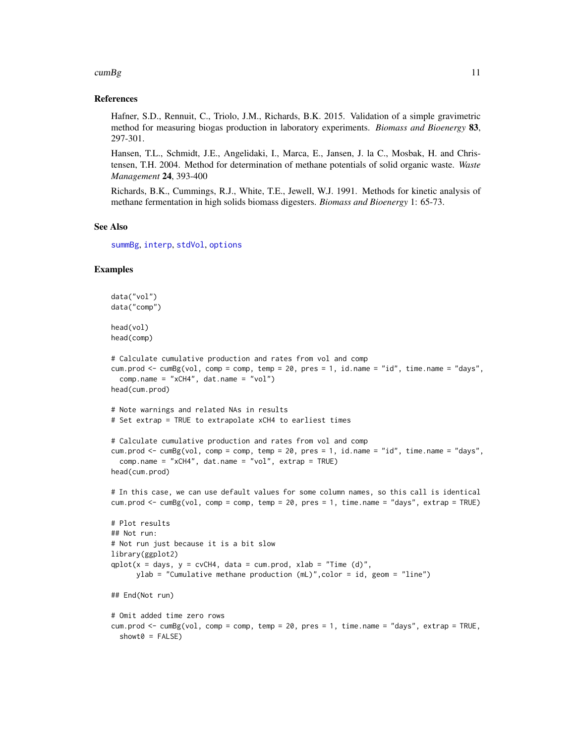#### <span id="page-10-0"></span> $\text{cumBg}$  and  $\text{numBg}$  and  $\text{numBg}$  and  $\text{numBg}$  and  $\text{numBg}$  and  $\text{numBg}$  and  $\text{numBg}$  and  $\text{numBg}$  and  $\text{numBg}$  and  $\text{numBg}$  and  $\text{numBg}$  and  $\text{numBg}$  and  $\text{numBg}$  and  $\text{numBg}$  and  $\text{numBg}$  and  $\text{numBg}$  an

#### References

Hafner, S.D., Rennuit, C., Triolo, J.M., Richards, B.K. 2015. Validation of a simple gravimetric method for measuring biogas production in laboratory experiments. *Biomass and Bioenergy* 83, 297-301.

Hansen, T.L., Schmidt, J.E., Angelidaki, I., Marca, E., Jansen, J. la C., Mosbak, H. and Christensen, T.H. 2004. Method for determination of methane potentials of solid organic waste. *Waste Management* 24, 393-400

Richards, B.K., Cummings, R.J., White, T.E., Jewell, W.J. 1991. Methods for kinetic analysis of methane fermentation in high solids biomass digesters. *Biomass and Bioenergy* 1: 65-73.

#### See Also

[summBg](#page-39-1), [interp](#page-14-1), [stdVol](#page-33-1), [options](#page-0-0)

#### Examples

```
data("vol")
data("comp")
head(vol)
head(comp)
# Calculate cumulative production and rates from vol and comp
cum.prod <- cumBg(vol, comp = comp, temp = 20, pres = 1, id.name = "id", time.name = "days",
  comp.name = "xCH4", dat.name = "vol")
head(cum.prod)
# Note warnings and related NAs in results
# Set extrap = TRUE to extrapolate xCH4 to earliest times
# Calculate cumulative production and rates from vol and comp
cum.prod \leq cumBg(vol, comp = comp, temp = 20, pres = 1, id.name = "id", time.name = "days",
  comp.name = "xCH4", dat.name = "vol", extrap = TRUE)
head(cum.prod)
# In this case, we can use default values for some column names, so this call is identical
cum.prod <- cumBg(vol, comp = comp, temp = 20, pres = 1, time.name = "days", extrap = TRUE)
# Plot results
## Not run:
# Not run just because it is a bit slow
library(ggplot2)
qplot(x = days, y = cvCH4, data = cum.prod, xlab = "Time (d)",ylab = "Cumulative methane production (mL)",color = id, geom = "line")
## End(Not run)
# Omit added time zero rows
cum.prod <- cumBg(vol, comp = comp, temp = 20, pres = 1, time.name = "days", extrap = TRUE,
  showt0 = FALSE)
```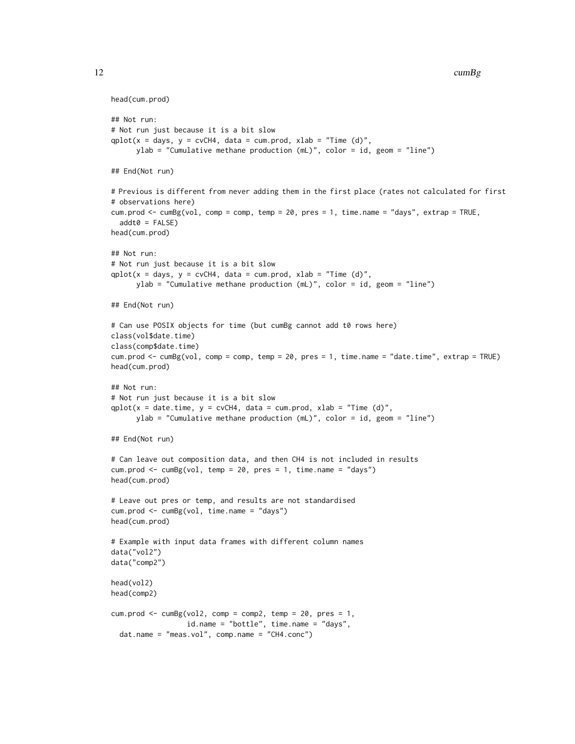12 cumBg

```
head(cum.prod)
## Not run:
# Not run just because it is a bit slow
qplot(x = days, y = cvCH4, data = cum.prod, xlab = "Time (d)",ylab = "Cumulative methane production (mL)", color = id, geom = "line")
## End(Not run)
# Previous is different from never adding them in the first place (rates not calculated for first
# observations here)
cum.prod <- cumBg(vol, comp = comp, temp = 20, pres = 1, time.name = "days", extrap = TRUE,
 addt0 = FALSE)head(cum.prod)
## Not run:
# Not run just because it is a bit slow
qplot(x = days, y = cvCH4, data = cum.prod, xlab = "Time (d)",ylab = "Cumulative methane production (mL)", color = id, geom = "line")
## End(Not run)
# Can use POSIX objects for time (but cumBg cannot add t0 rows here)
class(vol$date.time)
class(comp$date.time)
cum.prod <- cumBg(vol, comp = comp, temp = 20, pres = 1, time.name = "date.time", extrap = TRUE)
head(cum.prod)
## Not run:
# Not run just because it is a bit slow
qplot(x = date.time, y = cvCH4, data = cum.prod, xlab = "Time (d)",ylab = "Cumulative methane production (mL)", color = id, geom = "line")
## End(Not run)
# Can leave out composition data, and then CH4 is not included in results
cum.prod \leq cumBg(vol, temp = 20, pres = 1, time.name = "days")
head(cum.prod)
# Leave out pres or temp, and results are not standardised
cum.prod <- cumBg(vol, time.name = "days")
head(cum.prod)
# Example with input data frames with different column names
data("vol2")
data("comp2")
head(vol2)
head(comp2)
cum.prod <- cumBg(vol2, comp = comp2, temp = 20, pres = 1,
                 id.name = "bottle", time.name = "days",
 dat.name = "meas.vol", comp.name = "CH4.conc")
```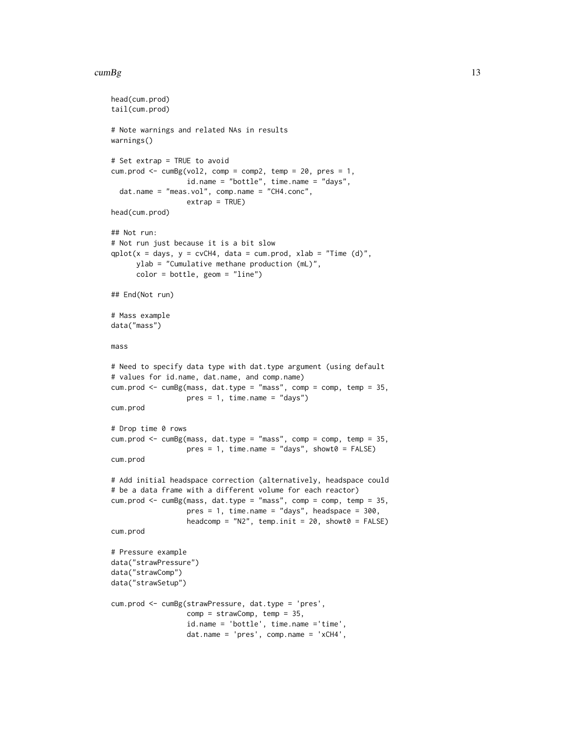#### $\text{cumBg}$  and  $\text{13}$

```
head(cum.prod)
tail(cum.prod)
# Note warnings and related NAs in results
warnings()
# Set extrap = TRUE to avoid
cum.prod <- cumBg(vol2, comp = comp2, temp = 20, pres = 1,
                  id.name = "bottle", time.name = "days",
 dat.name = "meas.vol", comp.name = "CH4.conc",
                  extrap = TRUE)
head(cum.prod)
## Not run:
# Not run just because it is a bit slow
qplot(x = days, y = cvCH4, data = cum.prod, xlab = "Time (d)",ylab = "Cumulative methane production (mL)",
     color = bottle, geom = "line")
## End(Not run)
# Mass example
data("mass")
mass
# Need to specify data type with dat.type argument (using default
# values for id.name, dat.name, and comp.name)
cum.prod <- cumBg(mass, dat.type = "mass", comp = comp, temp = 35,
                  pres = 1, time.name = "days")cum.prod
# Drop time 0 rows
cum.prod <- cumBg(mass, dat.type = "mass", comp = comp, temp = 35,
                  pres = 1, time.name = "days", showt0 = FALSE)
cum.prod
# Add initial headspace correction (alternatively, headspace could
# be a data frame with a different volume for each reactor)
cum.prod \leq cumBg(mass, dat.type = "mass", comp = comp, temp = 35,
                  pres = 1, time.name = "days", headspace = 300,
                  headcomp = "N2", temp.init = 20, showt0 = FALSE)
cum.prod
# Pressure example
data("strawPressure")
data("strawComp")
data("strawSetup")
cum.prod <- cumBg(strawPressure, dat.type = 'pres',
                  comp = strawComp, temp = 35,
                  id.name = 'bottle', time.name ='time',
                  dat.name = 'pres', comp.name = 'xCH4',
```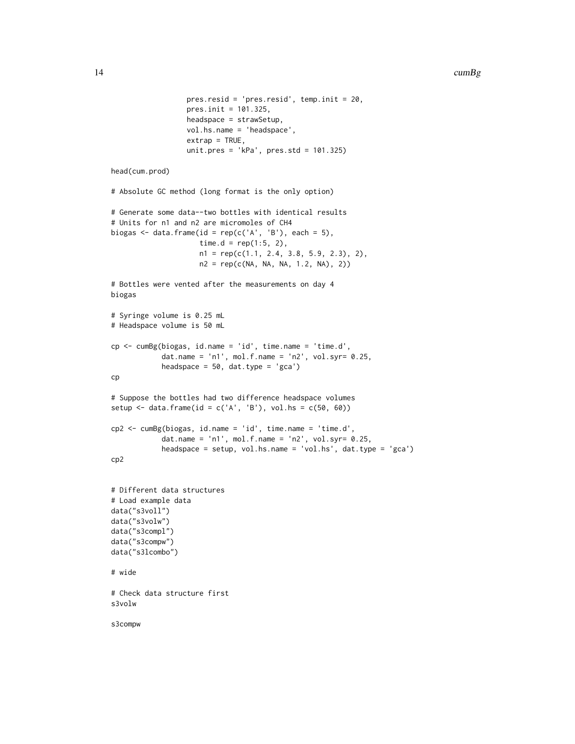```
pres.resid = 'pres.resid', temp.init = 20,
                  pres.init = 101.325,headspace = strawSetup,
                  vol.hs.name = 'headspace',
                  extrap = TRUE,
                  unit.pres = 'kPa', pres.std = 101.325)
head(cum.prod)
# Absolute GC method (long format is the only option)
# Generate some data--two bottles with identical results
# Units for n1 and n2 are micromoles of CH4
biogas \leq data.frame(id = rep(c('A', 'B'), each = 5),
                     time.d = rep(1:5, 2),n1 = rep(c(1.1, 2.4, 3.8, 5.9, 2.3), 2),n2 = rep(c(NA, NA, NA, 1.2, NA), 2))
# Bottles were vented after the measurements on day 4
biogas
# Syringe volume is 0.25 mL
# Headspace volume is 50 mL
cp <- cumBg(biogas, id.name = 'id', time.name = 'time.d',
            dat.name = 'n1', mol.f.name = 'n2', vol.syr= 0.25,
            headspace = 50, dat.type = 'gca')
cp
# Suppose the bottles had two difference headspace volumes
setup \le data.frame(id = c('A', 'B'), vol.hs = c(50, 60))
cp2 <- cumBg(biogas, id.name = 'id', time.name = 'time.d',
            dat.name = 'n1', mol.f.name = 'n2', vol.syr = 0.25,
            headspace = setup, vol.hs.name = 'vol.hs', dat.type = 'gca')
cp2
# Different data structures
# Load example data
data("s3voll")
data("s3volw")
data("s3compl")
data("s3compw")
data("s3lcombo")
# wide
# Check data structure first
s3volw
s3compw
```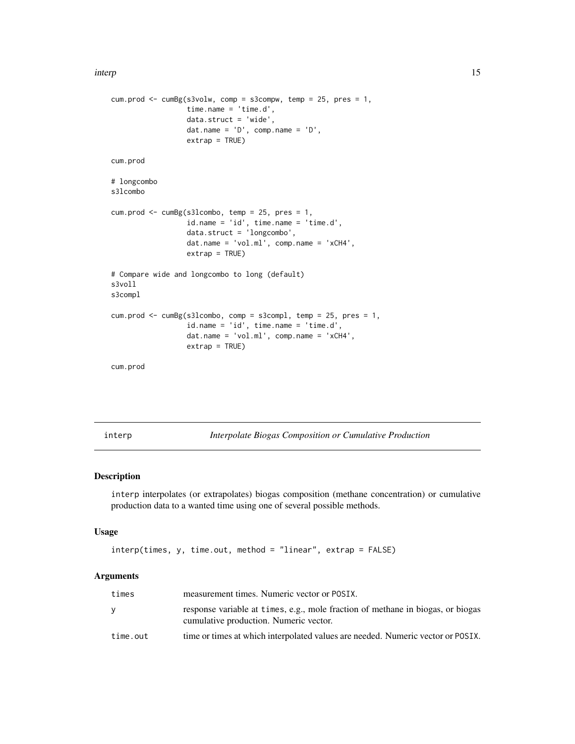```
cum.prod \leq cumBg(s3volw, comp = s3compw, temp = 25, pres = 1,
                 time.name = 'time.d',
                  data.struct = 'wide',
                  dat.name = 'D', comp.name = 'D',extrap = TRUE)
cum.prod
# longcombo
s3lcombo
cum.prod <- cumBg(s3lcombo, temp = 25, pres = 1,
                  id.name = 'id', time.name = 'time.d',
                  data.struct = 'longcombo',
                  dat.name = 'vol.ml', comp.name = 'xCH4',
                  extrap = TRUE)
# Compare wide and longcombo to long (default)
s3voll
s3compl
cum.prod <- cumBg(s3lcombo, comp = s3compl, temp = 25, pres = 1,
                  id.name = 'id', time.name = 'time.d',
                  dat.name = 'vol.ml', comp.name = 'xCH4',
                  extrap = TRUE)
cum.prod
```
<span id="page-14-1"></span>interp *Interpolate Biogas Composition or Cumulative Production*

#### Description

interp interpolates (or extrapolates) biogas composition (methane concentration) or cumulative production data to a wanted time using one of several possible methods.

#### Usage

```
interp(times, y, time.out, method = "linear", extrap = FALSE)
```
#### Arguments

| times    | measurement times. Numeric vector or POSIX.                                                                               |
|----------|---------------------------------------------------------------------------------------------------------------------------|
| v        | response variable at times, e.g., mole fraction of methane in biogas, or biogas<br>cumulative production. Numeric vector. |
| time.out | time or times at which interpolated values are needed. Numeric vector or POSIX.                                           |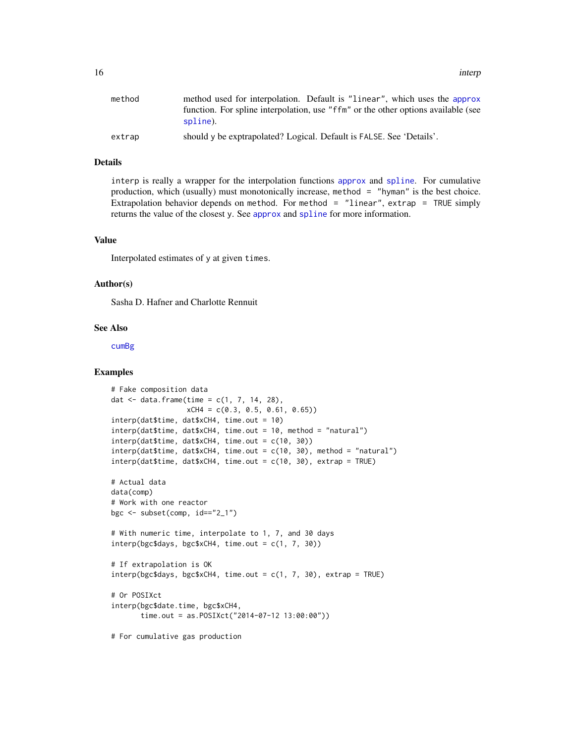<span id="page-15-0"></span>

| method | method used for interpolation. Default is "linear", which uses the approx         |
|--------|-----------------------------------------------------------------------------------|
|        | function. For spline interpolation, use "ffm" or the other options available (see |
|        | spline).                                                                          |
| extrap | should y be exptrapolated? Logical. Default is FALSE. See 'Details'.              |

#### Details

interp is really a wrapper for the interpolation functions [approx](#page-0-0) and [spline](#page-0-0). For cumulative production, which (usually) must monotonically increase, method = "hyman" is the best choice. Extrapolation behavior depends on method. For method  $=$  "linear", extrap  $=$  TRUE simply returns the value of the closest y. See [approx](#page-0-0) and [spline](#page-0-0) for more information.

#### Value

Interpolated estimates of y at given times.

#### Author(s)

Sasha D. Hafner and Charlotte Rennuit

#### See Also

[cumBg](#page-5-1)

#### Examples

```
# Fake composition data
dat \leq data.frame(time = c(1, 7, 14, 28),
                  xCH4 = c(0.3, 0.5, 0.61, 0.65)interp(dat$time, dat$xCH4, time.out = 10)
interp(dat$time, dat$xCH4, time.out = 10, method = "natural")
\text{interp}(\text{dat$time}, \text{dat$xCH4}, \text{time.out} = c(10, 30))interp(datatime, data&XCH4, time.out = c(10, 30), method = "natural")interp(dat$time, dat$xCH4, time.out = c(10, 30), extrap = TRUE)
# Actual data
data(comp)
# Work with one reactor
bgc \le subset(comp, id == "2_1")# With numeric time, interpolate to 1, 7, and 30 days
interp(bgc$days, bgc$xCH4, time.out = c(1, 7, 30))
# If extrapolation is OK
interp(bgc$days, bgc$xCH4, time.out = c(1, 7, 30), extrap = TRUE)# Or POSIXct
interp(bgc$date.time, bgc$xCH4,
       time.out = as.POSIXct("2014-07-12 13:00:00"))
# For cumulative gas production
```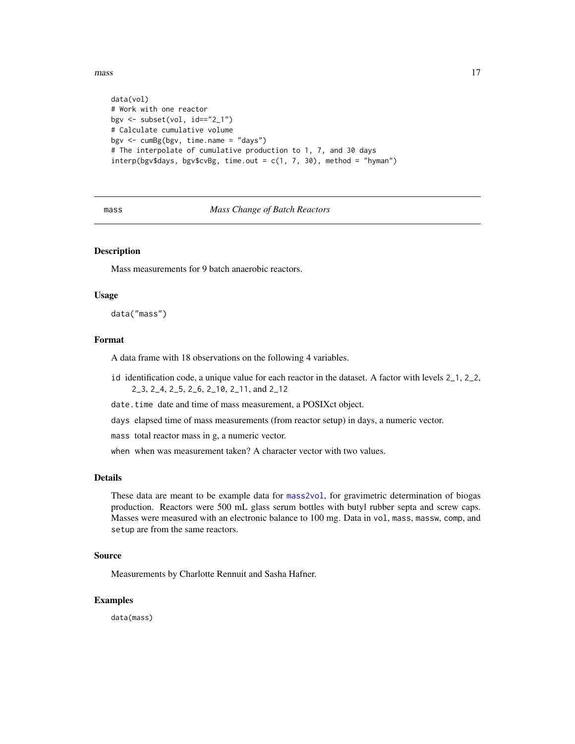<span id="page-16-0"></span> $mass \qquad 17$ 

```
data(vol)
# Work with one reactor
bgv <- subset(vol, id=="2_1")
# Calculate cumulative volume
bgv <- cumBg(bgv, time.name = "days")
# The interpolate of cumulative production to 1, 7, and 30 days
interp(bgv$days, bgv$cvBg, time.out = c(1, 7, 30), method = "hyman")
```
#### mass *Mass Change of Batch Reactors*

#### Description

Mass measurements for 9 batch anaerobic reactors.

#### Usage

data("mass")

#### Format

A data frame with 18 observations on the following 4 variables.

- id identification code, a unique value for each reactor in the dataset. A factor with levels 2\_1, 2\_2, 2\_3, 2\_4, 2\_5, 2\_6, 2\_10, 2\_11, and 2\_12
- date.time date and time of mass measurement, a POSIXct object.
- days elapsed time of mass measurements (from reactor setup) in days, a numeric vector.

mass total reactor mass in g, a numeric vector.

when when was measurement taken? A character vector with two values.

#### Details

These data are meant to be example data for [mass2vol](#page-17-1), for gravimetric determination of biogas production. Reactors were 500 mL glass serum bottles with butyl rubber septa and screw caps. Masses were measured with an electronic balance to 100 mg. Data in vol, mass, massw, comp, and setup are from the same reactors.

#### Source

Measurements by Charlotte Rennuit and Sasha Hafner.

#### Examples

data(mass)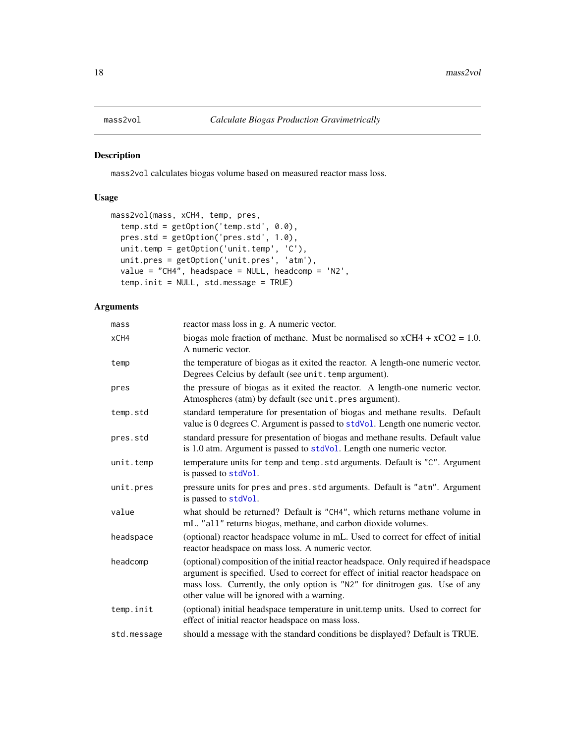<span id="page-17-1"></span><span id="page-17-0"></span>

mass2vol calculates biogas volume based on measured reactor mass loss.

#### Usage

```
mass2vol(mass, xCH4, temp, pres,
  temp.std = getOption('temp.std', 0.0),
 pres.std = getOption('pres.std', 1.0),
 unit.temp = getOption('unit.temp', 'C'),
 unit.pres = getOption('unit.pres', 'atm'),
 value = "CH4", headspace = NULL, headcomp = 'N2',
  temp.init = NULL, std.message = TRUE)
```
#### Arguments

| mass        | reactor mass loss in g. A numeric vector.                                                                                                                                                                                                                                                               |  |
|-------------|---------------------------------------------------------------------------------------------------------------------------------------------------------------------------------------------------------------------------------------------------------------------------------------------------------|--|
| xCH4        | biogas mole fraction of methane. Must be normalised so $xCH4 + xCO2 = 1.0$ .<br>A numeric vector.                                                                                                                                                                                                       |  |
| temp        | the temperature of biogas as it exited the reactor. A length-one numeric vector.<br>Degrees Celcius by default (see unit. temp argument).                                                                                                                                                               |  |
| pres        | the pressure of biogas as it exited the reactor. A length-one numeric vector.<br>Atmospheres (atm) by default (see unit.pres argument).                                                                                                                                                                 |  |
| temp.std    | standard temperature for presentation of biogas and methane results. Default<br>value is 0 degrees C. Argument is passed to stdVol. Length one numeric vector.                                                                                                                                          |  |
| pres.std    | standard pressure for presentation of biogas and methane results. Default value<br>is 1.0 atm. Argument is passed to stdVol. Length one numeric vector.                                                                                                                                                 |  |
| unit.temp   | temperature units for temp and temp. std arguments. Default is "C". Argument<br>is passed to stdVol.                                                                                                                                                                                                    |  |
| unit.pres   | pressure units for pres and pres.std arguments. Default is "atm". Argument<br>is passed to stdVol.                                                                                                                                                                                                      |  |
| value       | what should be returned? Default is "CH4", which returns methane volume in<br>mL. "all" returns biogas, methane, and carbon dioxide volumes.                                                                                                                                                            |  |
| headspace   | (optional) reactor headspace volume in mL. Used to correct for effect of initial<br>reactor headspace on mass loss. A numeric vector.                                                                                                                                                                   |  |
| headcomp    | (optional) composition of the initial reactor headspace. Only required if headspace<br>argument is specified. Used to correct for effect of initial reactor headspace on<br>mass loss. Currently, the only option is "N2" for dinitrogen gas. Use of any<br>other value will be ignored with a warning. |  |
| temp.init   | (optional) initial headspace temperature in unit.temp units. Used to correct for<br>effect of initial reactor headspace on mass loss.                                                                                                                                                                   |  |
| std.message | should a message with the standard conditions be displayed? Default is TRUE.                                                                                                                                                                                                                            |  |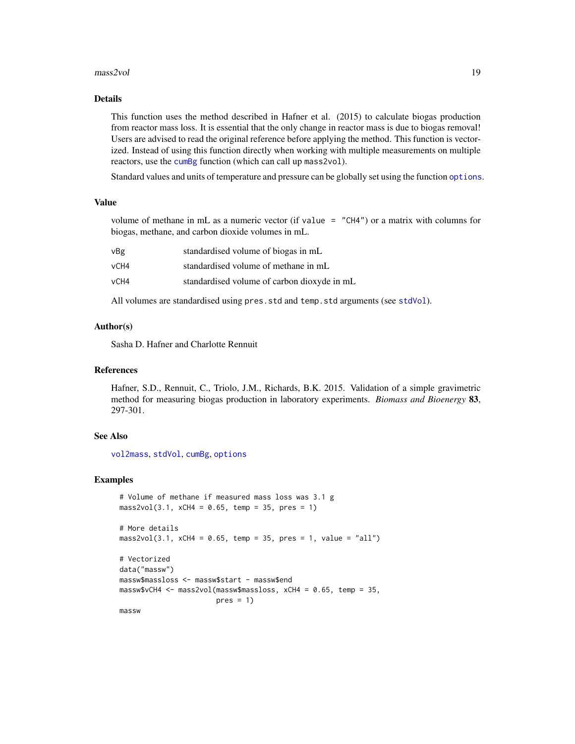#### <span id="page-18-0"></span> $mass2vol$  19

#### Details

This function uses the method described in Hafner et al. (2015) to calculate biogas production from reactor mass loss. It is essential that the only change in reactor mass is due to biogas removal! Users are advised to read the original reference before applying the method. This function is vectorized. Instead of using this function directly when working with multiple measurements on multiple reactors, use the [cumBg](#page-5-1) function (which can call up mass2vol).

Standard values and units of temperature and pressure can be globally set using the function [options](#page-0-0).

#### Value

volume of methane in mL as a numeric vector (if value = "CH4") or a matrix with columns for biogas, methane, and carbon dioxide volumes in mL.

| vBg  | standardised volume of biogas in mL         |
|------|---------------------------------------------|
| vCH4 | standardised volume of methane in mL        |
| vCH4 | standardised volume of carbon dioxyde in mL |

All volumes are standardised using pres.std and temp.std arguments (see [stdVol](#page-33-1)).

#### Author(s)

Sasha D. Hafner and Charlotte Rennuit

#### References

Hafner, S.D., Rennuit, C., Triolo, J.M., Richards, B.K. 2015. Validation of a simple gravimetric method for measuring biogas production in laboratory experiments. *Biomass and Bioenergy* 83, 297-301.

#### See Also

[vol2mass](#page-45-1), [stdVol](#page-33-1), [cumBg](#page-5-1), [options](#page-0-0)

#### Examples

```
# Volume of methane if measured mass loss was 3.1 g
mass2vol(3.1, xCH4 = 0.65, temp = 35, pres = 1)# More details
mass2vol(3.1, xCH4 = 0.65, temp = 35, pres = 1, value = "all")# Vectorized
data("massw")
massw$massloss <- massw$start - massw$end
massw$vCH4 <- mass2vol(massw$massloss, xCH4 = 0.65, temp = 35,
                      pres = 1)massw
```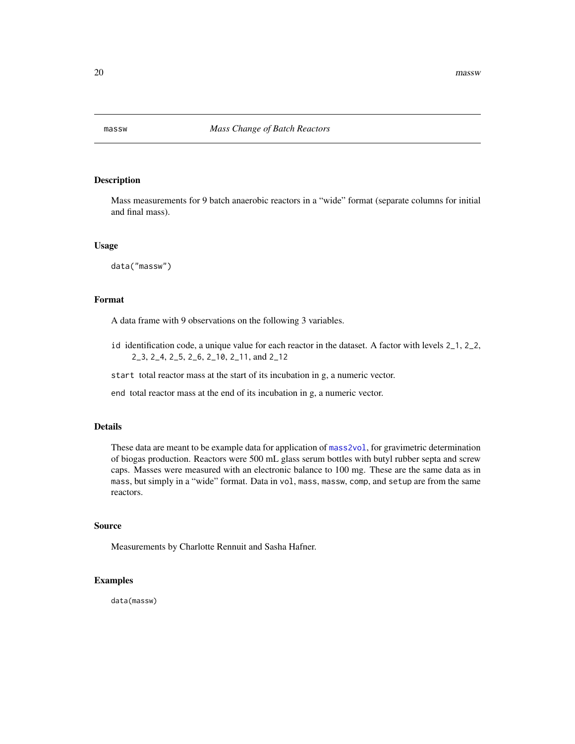<span id="page-19-0"></span>

Mass measurements for 9 batch anaerobic reactors in a "wide" format (separate columns for initial and final mass).

#### Usage

data("massw")

#### Format

A data frame with 9 observations on the following 3 variables.

id identification code, a unique value for each reactor in the dataset. A factor with levels 2\_1, 2\_2, 2\_3, 2\_4, 2\_5, 2\_6, 2\_10, 2\_11, and 2\_12

start total reactor mass at the start of its incubation in g, a numeric vector.

end total reactor mass at the end of its incubation in g, a numeric vector.

#### Details

These data are meant to be example data for application of [mass2vol](#page-17-1), for gravimetric determination of biogas production. Reactors were 500 mL glass serum bottles with butyl rubber septa and screw caps. Masses were measured with an electronic balance to 100 mg. These are the same data as in mass, but simply in a "wide" format. Data in vol, mass, massw, comp, and setup are from the same reactors.

#### Source

Measurements by Charlotte Rennuit and Sasha Hafner.

#### Examples

data(massw)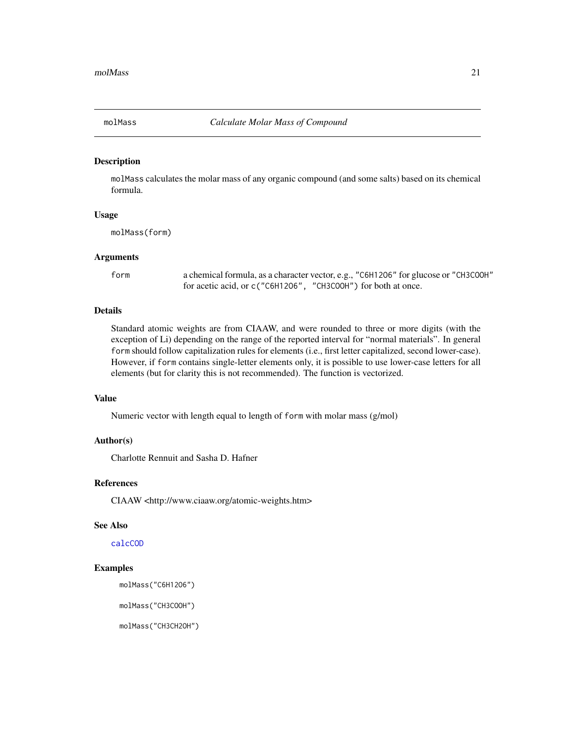<span id="page-20-1"></span><span id="page-20-0"></span>

molMass calculates the molar mass of any organic compound (and some salts) based on its chemical formula.

#### Usage

molMass(form)

#### Arguments

form a chemical formula, as a character vector, e.g., "C6H12O6" for glucose or "CH3COOH" for acetic acid, or c("C6H12O6", "CH3COOH") for both at once.

#### Details

Standard atomic weights are from CIAAW, and were rounded to three or more digits (with the exception of Li) depending on the range of the reported interval for "normal materials". In general form should follow capitalization rules for elements (i.e., first letter capitalized, second lower-case). However, if form contains single-letter elements only, it is possible to use lower-case letters for all elements (but for clarity this is not recommended). The function is vectorized.

#### Value

Numeric vector with length equal to length of form with molar mass (g/mol)

#### Author(s)

Charlotte Rennuit and Sasha D. Hafner

#### References

CIAAW <http://www.ciaaw.org/atomic-weights.htm>

#### See Also

[calcCOD](#page-1-1)

#### Examples

molMass("C6H12O6")

molMass("CH3COOH")

molMass("CH3CH2OH")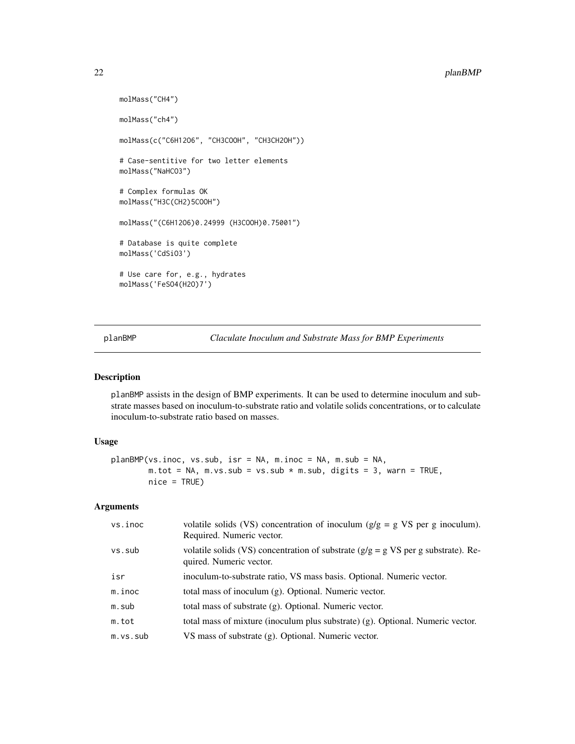```
molMass("CH4")
molMass("ch4")
molMass(c("C6H12O6", "CH3COOH", "CH3CH2OH"))
# Case-sentitive for two letter elements
molMass("NaHCO3")
# Complex formulas OK
molMass("H3C(CH2)5COOH")
molMass("(C6H12O6)0.24999 (H3COOH)0.75001")
# Database is quite complete
molMass('CdSiO3')
# Use care for, e.g., hydrates
molMass('FeSO4(H2O)7')
```
planBMP *Claculate Inoculum and Substrate Mass for BMP Experiments*

#### Description

planBMP assists in the design of BMP experiments. It can be used to determine inoculum and substrate masses based on inoculum-to-substrate ratio and volatile solids concentrations, or to calculate inoculum-to-substrate ratio based on masses.

#### Usage

```
planBMP(vs.inoc, vs.sub, isr = NA, m.inoc = NA, m.sub = NA,
       m.tot = NA, m.vs.sub = vs.sub * m.sub, digits = 3, warn = TRUE,
       nice = TRUE)
```
#### Arguments

| vs.inoc  | volatile solids (VS) concentration of inoculum $(g/g = g VS)$ per g inoculum).<br>Required. Numeric vector.     |
|----------|-----------------------------------------------------------------------------------------------------------------|
| vs.sub   | volatile solids (VS) concentration of substrate ( $g/g = g VS$ per g substrate). Re-<br>quired. Numeric vector. |
| isr      | inoculum-to-substrate ratio, VS mass basis. Optional. Numeric vector.                                           |
| m.inoc   | total mass of inoculum (g). Optional. Numeric vector.                                                           |
| m.sub    | total mass of substrate (g). Optional. Numeric vector.                                                          |
| m.tot    | total mass of mixture (inoculum plus substrate) (g). Optional. Numeric vector.                                  |
| m.vs.sub | VS mass of substrate (g). Optional. Numeric vector.                                                             |

<span id="page-21-0"></span>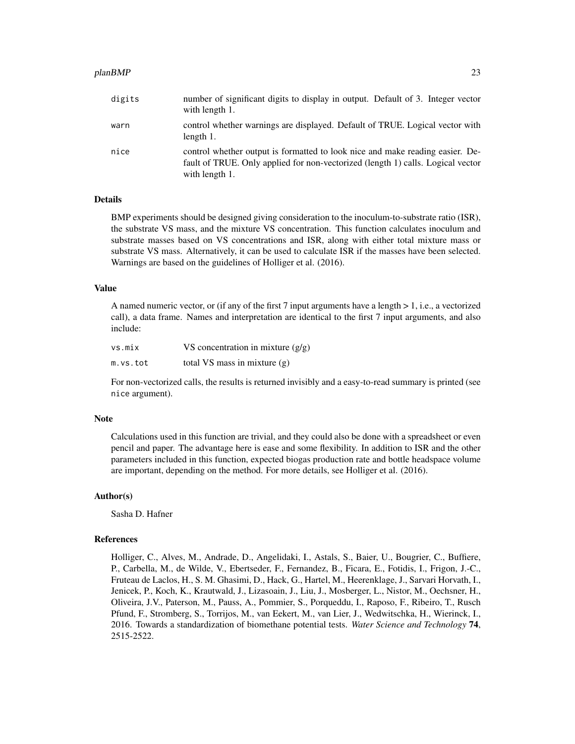#### planBMP 23

| digits | number of significant digits to display in output. Default of 3. Integer vector<br>with length 1.                                                                                  |
|--------|------------------------------------------------------------------------------------------------------------------------------------------------------------------------------------|
| warn   | control whether warnings are displayed. Default of TRUE. Logical vector with<br>length 1.                                                                                          |
| nice   | control whether output is formatted to look nice and make reading easier. De-<br>fault of TRUE. Only applied for non-vectorized (length 1) calls. Logical vector<br>with length 1. |

#### Details

BMP experiments should be designed giving consideration to the inoculum-to-substrate ratio (ISR), the substrate VS mass, and the mixture VS concentration. This function calculates inoculum and substrate masses based on VS concentrations and ISR, along with either total mixture mass or substrate VS mass. Alternatively, it can be used to calculate ISR if the masses have been selected. Warnings are based on the guidelines of Holliger et al. (2016).

#### Value

A named numeric vector, or (if any of the first 7 input arguments have a length > 1, i.e., a vectorized call), a data frame. Names and interpretation are identical to the first 7 input arguments, and also include:

| vs.mix   | VS concentration in mixture $(g/g)$ |
|----------|-------------------------------------|
| m.vs.tot | total VS mass in mixture $(g)$      |

For non-vectorized calls, the results is returned invisibly and a easy-to-read summary is printed (see nice argument).

#### Note

Calculations used in this function are trivial, and they could also be done with a spreadsheet or even pencil and paper. The advantage here is ease and some flexibility. In addition to ISR and the other parameters included in this function, expected biogas production rate and bottle headspace volume are important, depending on the method. For more details, see Holliger et al. (2016).

#### Author(s)

Sasha D. Hafner

#### References

Holliger, C., Alves, M., Andrade, D., Angelidaki, I., Astals, S., Baier, U., Bougrier, C., Buffiere, P., Carbella, M., de Wilde, V., Ebertseder, F., Fernandez, B., Ficara, E., Fotidis, I., Frigon, J.-C., Fruteau de Laclos, H., S. M. Ghasimi, D., Hack, G., Hartel, M., Heerenklage, J., Sarvari Horvath, I., Jenicek, P., Koch, K., Krautwald, J., Lizasoain, J., Liu, J., Mosberger, L., Nistor, M., Oechsner, H., Oliveira, J.V., Paterson, M., Pauss, A., Pommier, S., Porqueddu, I., Raposo, F., Ribeiro, T., Rusch Pfund, F., Stromberg, S., Torrijos, M., van Eekert, M., van Lier, J., Wedwitschka, H., Wierinck, I., 2016. Towards a standardization of biomethane potential tests. *Water Science and Technology* 74, 2515-2522.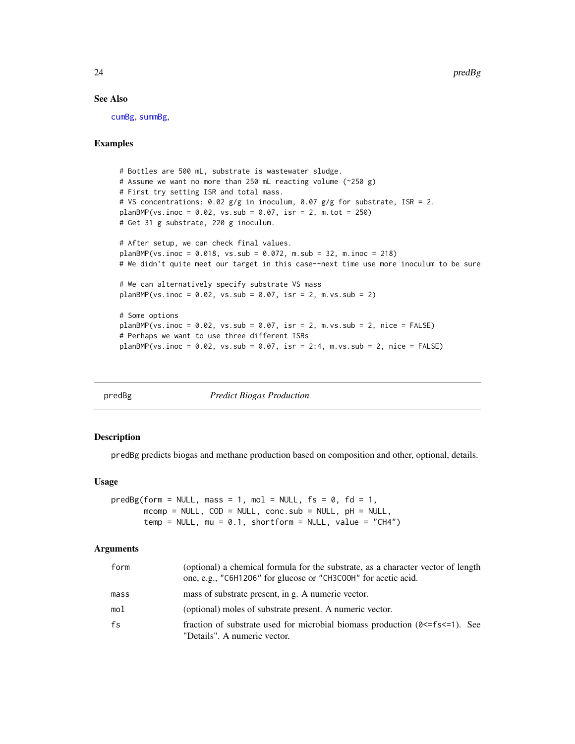24 predBg predBg predBg predBg predBg predBg predBg predBg predBg predBg predBg predBg predBg predBg predBg predBg

#### See Also

[cumBg](#page-5-1), [summBg](#page-39-1),

#### Examples

```
# Bottles are 500 mL, substrate is wastewater sludge.
# Assume we want no more than 250 mL reacting volume (~250 g)
# First try setting ISR and total mass.
# VS concentrations: 0.02 g/g in inoculum, 0.07 g/g for substrate, ISR = 2.
planBMP(vs.inoc = 0.02, vs.sub = 0.07, isr = 2, m.tot = 250)
# Get 31 g substrate, 220 g inoculum.
# After setup, we can check final values.
planBMP(vs.inoc = 0.018, vs.sub = 0.072, m.sub = 32, m.inoc = 218)
# We didn't quite meet our target in this case--next time use more inoculum to be sure
# We can alternatively specify substrate VS mass
planBMP(vs.inoc = 0.02, vs.sub = 0.07, isr = 2, m.vs.sub = 2)# Some options
planBMP(vs.inoc = 0.02, vs.sub = 0.07, isr = 2, m.vs.sub = 2, nice = FALSE)
# Perhaps we want to use three different ISRs
planBMP(vs.inoc = 0.02, vs.sub = 0.07, isr = 2:4, m.vs.sub = 2, nice = FALSE)
```
<span id="page-23-1"></span>

| aв<br>Æ. | v |
|----------|---|
|----------|---|

**Predict Biogas Production** 

#### Description

predBg predicts biogas and methane production based on composition and other, optional, details.

#### Usage

```
predBg(form = NULL, mass = 1, mol = NULL, fs = 0, fd = 1,mcomp = NULL, COD = NULL, conc.sub = NULL, pH = NULL,temp = NULL, mu = 0.1, shortform = NULL, value = "CH4")
```
#### Arguments

| form | (optional) a chemical formula for the substrate, as a character vector of length<br>one, e.g., "C6H1206" for glucose or "CH3C00H" for acetic acid. |
|------|----------------------------------------------------------------------------------------------------------------------------------------------------|
| mass | mass of substrate present, in g. A numeric vector.                                                                                                 |
| mol  | (optional) moles of substrate present. A numeric vector.                                                                                           |
| fs   | fraction of substrate used for microbial biomass production $(0 \le f \le \le 1)$ . See<br>"Details". A numeric vector.                            |

<span id="page-23-0"></span>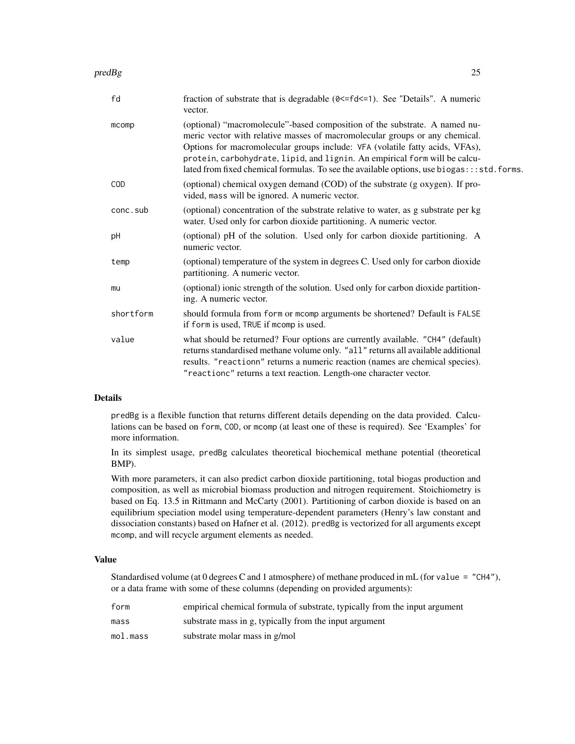#### $\mathsf{predBg}$  25

| fraction of substrate that is degradable (0 <= fd <= 1). See "Details". A numeric<br>vector.                                                                                                                                                                                                                                                                                                                         |
|----------------------------------------------------------------------------------------------------------------------------------------------------------------------------------------------------------------------------------------------------------------------------------------------------------------------------------------------------------------------------------------------------------------------|
| (optional) "macromolecule"-based composition of the substrate. A named nu-<br>meric vector with relative masses of macromolecular groups or any chemical.<br>Options for macromolecular groups include: VFA (volatile fatty acids, VFAs),<br>protein, carbohydrate, lipid, and lignin. An empirical form will be calcu-<br>lated from fixed chemical formulas. To see the available options, use biogas:::std.forms. |
| (optional) chemical oxygen demand (COD) of the substrate (g oxygen). If pro-<br>vided, mass will be ignored. A numeric vector.                                                                                                                                                                                                                                                                                       |
| (optional) concentration of the substrate relative to water, as g substrate per kg<br>water. Used only for carbon dioxide partitioning. A numeric vector.                                                                                                                                                                                                                                                            |
| (optional) pH of the solution. Used only for carbon dioxide partitioning. A<br>numeric vector.                                                                                                                                                                                                                                                                                                                       |
| (optional) temperature of the system in degrees C. Used only for carbon dioxide<br>partitioning. A numeric vector.                                                                                                                                                                                                                                                                                                   |
| (optional) ionic strength of the solution. Used only for carbon dioxide partition-<br>ing. A numeric vector.                                                                                                                                                                                                                                                                                                         |
| should formula from form or mcomp arguments be shortened? Default is FALSE<br>if form is used, TRUE if mcomp is used.                                                                                                                                                                                                                                                                                                |
| what should be returned? Four options are currently available. "CH4" (default)<br>returns standardised methane volume only. "all" returns all available additional<br>results. "reactionn" returns a numeric reaction (names are chemical species).<br>"reactionc" returns a text reaction. Length-one character vector.                                                                                             |
|                                                                                                                                                                                                                                                                                                                                                                                                                      |

#### Details

predBg is a flexible function that returns different details depending on the data provided. Calculations can be based on form, COD, or mcomp (at least one of these is required). See 'Examples' for more information.

In its simplest usage, predBg calculates theoretical biochemical methane potential (theoretical BMP).

With more parameters, it can also predict carbon dioxide partitioning, total biogas production and composition, as well as microbial biomass production and nitrogen requirement. Stoichiometry is based on Eq. 13.5 in Rittmann and McCarty (2001). Partitioning of carbon dioxide is based on an equilibrium speciation model using temperature-dependent parameters (Henry's law constant and dissociation constants) based on Hafner et al. (2012). predBg is vectorized for all arguments except mcomp, and will recycle argument elements as needed.

#### Value

Standardised volume (at 0 degrees C and 1 atmosphere) of methane produced in mL (for value = "CH4"), or a data frame with some of these columns (depending on provided arguments):

| form     | empirical chemical formula of substrate, typically from the input argument |
|----------|----------------------------------------------------------------------------|
| mass     | substrate mass in g, typically from the input argument                     |
| mol.mass | substrate molar mass in g/mol                                              |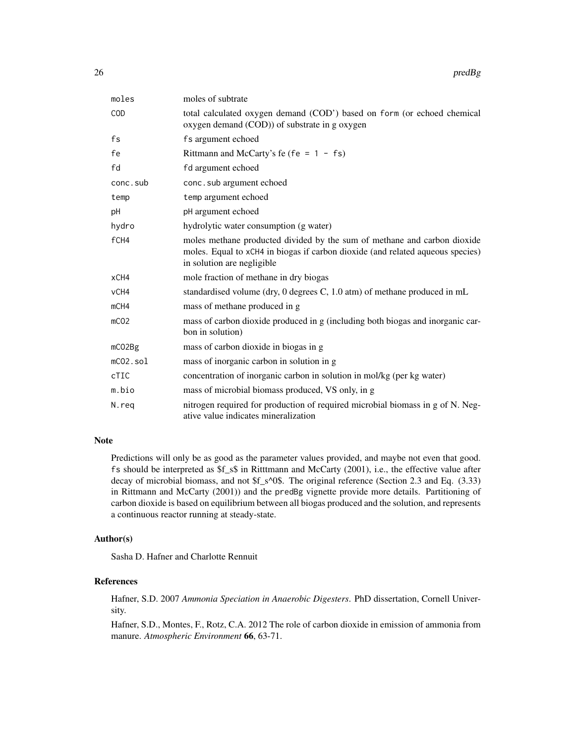| moles            | moles of subtrate                                                                                                                                                                        |
|------------------|------------------------------------------------------------------------------------------------------------------------------------------------------------------------------------------|
| <b>COD</b>       | total calculated oxygen demand (COD') based on form (or echoed chemical<br>oxygen demand (COD)) of substrate in g oxygen                                                                 |
| fs               | fs argument echoed                                                                                                                                                                       |
| fe               | Rittmann and McCarty's fe (fe = $1 - fs$ )                                                                                                                                               |
| fd               | fd argument echoed                                                                                                                                                                       |
| conc.sub         | conc.sub argument echoed                                                                                                                                                                 |
| temp             | temp argument echoed                                                                                                                                                                     |
| рH               | pH argument echoed                                                                                                                                                                       |
| hydro            | hydrolytic water consumption (g water)                                                                                                                                                   |
| fCH4             | moles methane producted divided by the sum of methane and carbon dioxide<br>moles. Equal to xCH4 in biogas if carbon dioxide (and related aqueous species)<br>in solution are negligible |
| xCH4             | mole fraction of methane in dry biogas                                                                                                                                                   |
| vCH4             | standardised volume (dry, 0 degrees C, 1.0 atm) of methane produced in mL                                                                                                                |
| mCH4             | mass of methane produced in g                                                                                                                                                            |
| mCO <sub>2</sub> | mass of carbon dioxide produced in g (including both biogas and inorganic car-<br>bon in solution)                                                                                       |
| mCO2Bg           | mass of carbon dioxide in biogas in g                                                                                                                                                    |
| $mCO2$ .sol      | mass of inorganic carbon in solution in g                                                                                                                                                |
| <b>cTIC</b>      | concentration of inorganic carbon in solution in mol/kg (per kg water)                                                                                                                   |
| m.bio            | mass of microbial biomass produced, VS only, in g                                                                                                                                        |
| N.reg            | nitrogen required for production of required microbial biomass in g of N. Neg-<br>ative value indicates mineralization                                                                   |

#### Note

Predictions will only be as good as the parameter values provided, and maybe not even that good. fs should be interpreted as \$f\_s\$ in Ritttmann and McCarty (2001), i.e., the effective value after decay of microbial biomass, and not \$f\_s^0\$. The original reference (Section 2.3 and Eq. (3.33) in Rittmann and McCarty (2001)) and the predBg vignette provide more details. Partitioning of carbon dioxide is based on equilibrium between all biogas produced and the solution, and represents a continuous reactor running at steady-state.

#### Author(s)

Sasha D. Hafner and Charlotte Rennuit

#### References

Hafner, S.D. 2007 *Ammonia Speciation in Anaerobic Digesters*. PhD dissertation, Cornell University.

Hafner, S.D., Montes, F., Rotz, C.A. 2012 The role of carbon dioxide in emission of ammonia from manure. *Atmospheric Environment* 66, 63-71.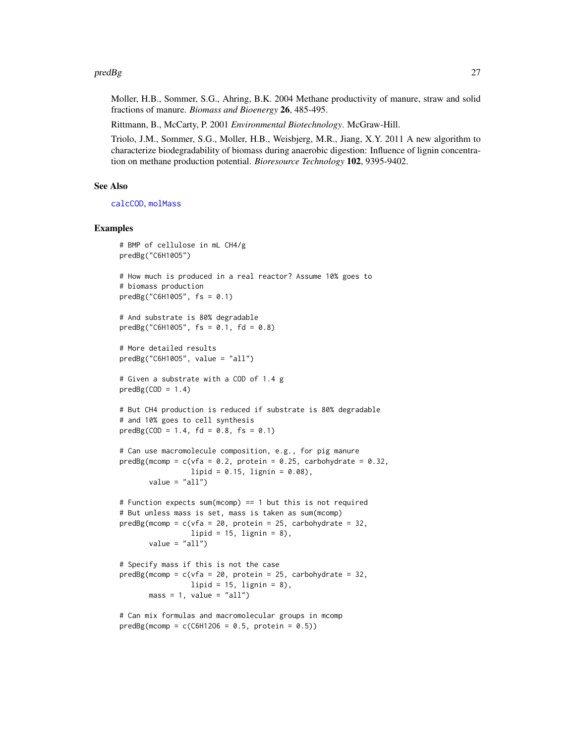#### <span id="page-26-0"></span> $\mathsf{predBg}$  27

Moller, H.B., Sommer, S.G., Ahring, B.K. 2004 Methane productivity of manure, straw and solid fractions of manure. *Biomass and Bioenergy* 26, 485-495.

Rittmann, B., McCarty, P. 2001 *Environmental Biotechnology*. McGraw-Hill.

Triolo, J.M., Sommer, S.G., Moller, H.B., Weisbjerg, M.R., Jiang, X.Y. 2011 A new algorithm to characterize biodegradability of biomass during anaerobic digestion: Influence of lignin concentration on methane production potential. *Bioresource Technology* 102, 9395-9402.

#### See Also

[calcCOD](#page-1-1), [molMass](#page-20-1)

#### Examples

```
# BMP of cellulose in mL CH4/g
predBg("C6H10O5")
# How much is produced in a real reactor? Assume 10% goes to
# biomass production
predBg("C6H1005", fs = 0.1)# And substrate is 80% degradable
predBg("C6H1005", fs = 0.1, fd = 0.8)# More detailed results
predBg("C6H10O5", value = "all")
# Given a substrate with a COD of 1.4 g
predBg(COD = 1.4)# But CH4 production is reduced if substrate is 80% degradable
# and 10% goes to cell synthesis
predBg(COD = 1.4, fd = 0.8, fs = 0.1)# Can use macromolecule composition, e.g., for pig manure
predBg(mcomp = c(vfa = 0.2, protein = 0.25, carbohydrate = 0.32,lipid = 0.15, lignin = 0.08),
       value = "all")# Function expects sum(mcomp) == 1 but this is not required
# But unless mass is set, mass is taken as sum(mcomp)
predBg(mcomp = c(vfa = 20, protein = 25, carbohydrate = 32,lipid = 15, lignin = 8),
      value = "all")
# Specify mass if this is not the case
predBg(mcomp = c(vfa = 20, protein = 25, carbohydrate = 32,lipid = 15, lignin = 8),
      mass = 1, value = "all")
# Can mix formulas and macromolecular groups in mcomp
predBg(mcomp = c(C6H1206 = 0.5, protein = 0.5))
```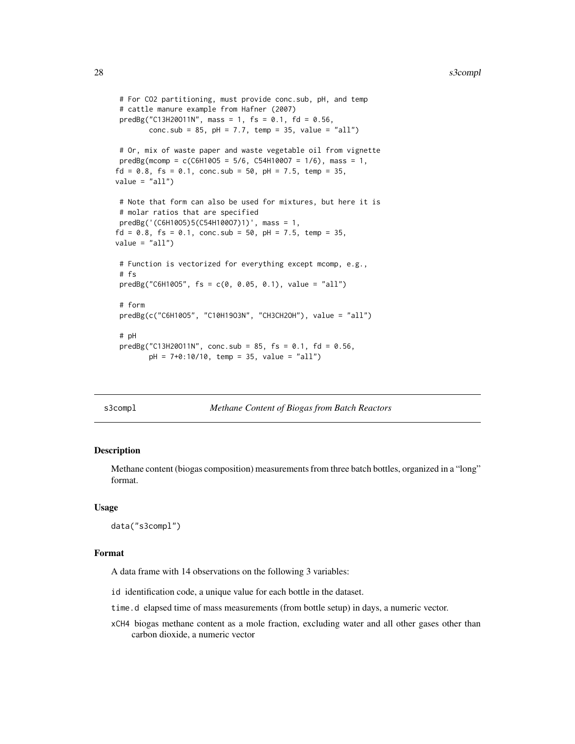```
# For CO2 partitioning, must provide conc.sub, pH, and temp
# cattle manure example from Hafner (2007)
predBg("C13H20011N", mass = 1, fs = 0.1, fd = 0.56,conc.sub = 85, pH = 7.7, temp = 35, value = "all")
# Or, mix of waste paper and waste vegetable oil from vignette
predBg(mcomp = c(C6H1005 = 5/6, C54H10007 = 1/6), mass = 1,fd = 0.8, fs = 0.1, conc.sub = 50, pH = 7.5, temp = 35,
value = "all")# Note that form can also be used for mixtures, but here it is
# molar ratios that are specified
predBg('(C6H10O5)5(C54H100O7)1)', mass = 1,
fd = 0.8, fs = 0.1, conc.sub = 50, pH = 7.5, temp = 35,
value = "all")# Function is vectorized for everything except mcomp, e.g.,
# fs
predBg("C6H1005", fs = c(0, 0.05, 0.1), value = "all")# form
predBg(c("C6H10O5", "C10H19O3N", "CH3CH2OH"), value = "all")
# pH
predBg("C13H20011N", conc.sub = 85, fs = 0.1, fd = 0.56,pH = 7+0:10/10, temp = 35, value = "all")
```
#### s3compl *Methane Content of Biogas from Batch Reactors*

#### Description

Methane content (biogas composition) measurements from three batch bottles, organized in a "long" format.

#### Usage

data("s3compl")

#### Format

A data frame with 14 observations on the following 3 variables:

id identification code, a unique value for each bottle in the dataset.

- time.d elapsed time of mass measurements (from bottle setup) in days, a numeric vector.
- xCH4 biogas methane content as a mole fraction, excluding water and all other gases other than carbon dioxide, a numeric vector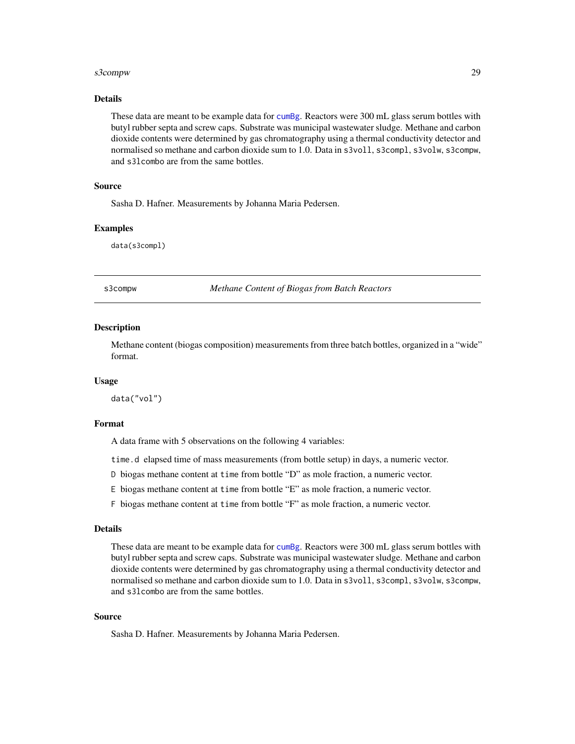#### <span id="page-28-0"></span>s3compw 29

#### Details

These data are meant to be example data for [cumBg](#page-5-1). Reactors were 300 mL glass serum bottles with butyl rubber septa and screw caps. Substrate was municipal wastewater sludge. Methane and carbon dioxide contents were determined by gas chromatography using a thermal conductivity detector and normalised so methane and carbon dioxide sum to 1.0. Data in s3voll, s3compl, s3volw, s3compw, and s3lcombo are from the same bottles.

#### Source

Sasha D. Hafner. Measurements by Johanna Maria Pedersen.

#### Examples

data(s3compl)

s3compw *Methane Content of Biogas from Batch Reactors*

#### **Description**

Methane content (biogas composition) measurements from three batch bottles, organized in a "wide" format.

#### Usage

data("vol")

#### Format

A data frame with 5 observations on the following 4 variables:

time.d elapsed time of mass measurements (from bottle setup) in days, a numeric vector.

- D biogas methane content at time from bottle "D" as mole fraction, a numeric vector.
- E biogas methane content at time from bottle "E" as mole fraction, a numeric vector.
- F biogas methane content at time from bottle "F" as mole fraction, a numeric vector.

#### Details

These data are meant to be example data for [cumBg](#page-5-1). Reactors were 300 mL glass serum bottles with butyl rubber septa and screw caps. Substrate was municipal wastewater sludge. Methane and carbon dioxide contents were determined by gas chromatography using a thermal conductivity detector and normalised so methane and carbon dioxide sum to 1.0. Data in s3voll, s3compl, s3volw, s3compw, and s3lcombo are from the same bottles.

#### Source

Sasha D. Hafner. Measurements by Johanna Maria Pedersen.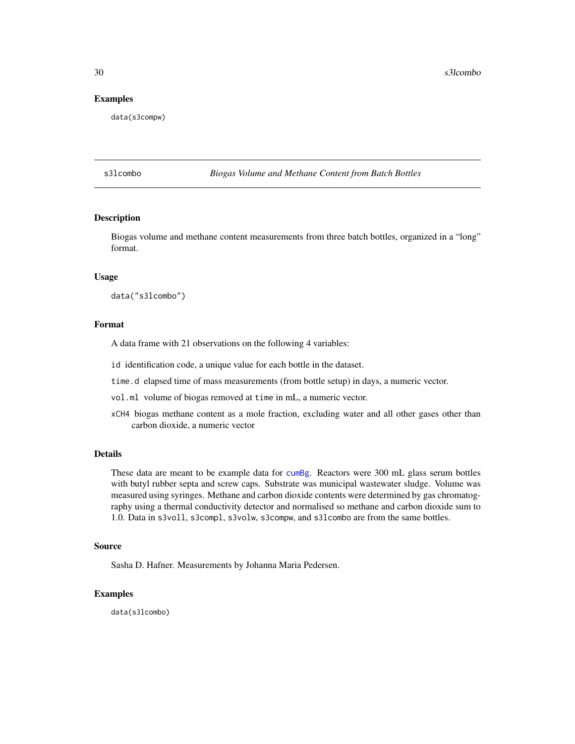#### <span id="page-29-0"></span>Examples

data(s3compw)

s3lcombo *Biogas Volume and Methane Content from Batch Bottles*

#### Description

Biogas volume and methane content measurements from three batch bottles, organized in a "long" format.

#### Usage

data("s3lcombo")

#### Format

A data frame with 21 observations on the following 4 variables:

- id identification code, a unique value for each bottle in the dataset.
- time.d elapsed time of mass measurements (from bottle setup) in days, a numeric vector.
- vol.ml volume of biogas removed at time in mL, a numeric vector.
- xCH4 biogas methane content as a mole fraction, excluding water and all other gases other than carbon dioxide, a numeric vector

#### Details

These data are meant to be example data for [cumBg](#page-5-1). Reactors were 300 mL glass serum bottles with butyl rubber septa and screw caps. Substrate was municipal wastewater sludge. Volume was measured using syringes. Methane and carbon dioxide contents were determined by gas chromatography using a thermal conductivity detector and normalised so methane and carbon dioxide sum to 1.0. Data in s3voll, s3compl, s3volw, s3compw, and s3lcombo are from the same bottles.

#### Source

Sasha D. Hafner. Measurements by Johanna Maria Pedersen.

#### Examples

data(s3lcombo)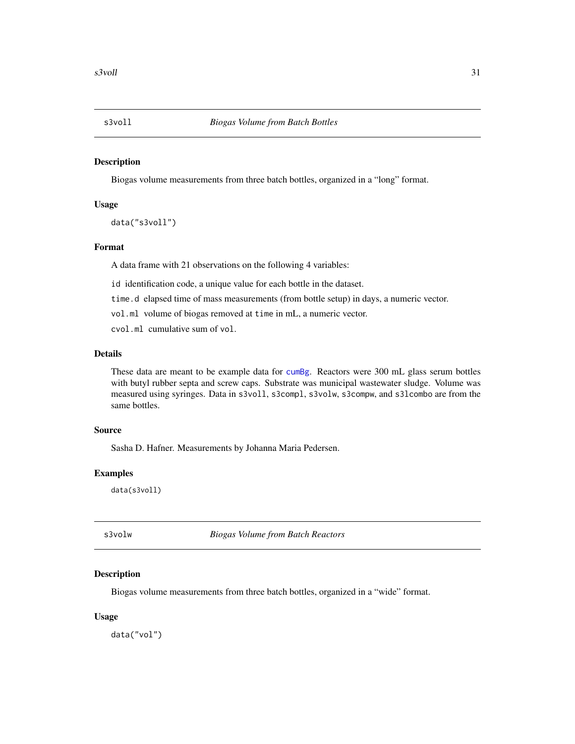<span id="page-30-0"></span>

Biogas volume measurements from three batch bottles, organized in a "long" format.

#### Usage

```
data("s3voll")
```
#### Format

A data frame with 21 observations on the following 4 variables:

id identification code, a unique value for each bottle in the dataset.

time.d elapsed time of mass measurements (from bottle setup) in days, a numeric vector.

vol.ml volume of biogas removed at time in mL, a numeric vector.

cvol.ml cumulative sum of vol.

#### Details

These data are meant to be example data for [cumBg](#page-5-1). Reactors were 300 mL glass serum bottles with butyl rubber septa and screw caps. Substrate was municipal wastewater sludge. Volume was measured using syringes. Data in s3voll, s3compl, s3volw, s3compw, and s3lcombo are from the same bottles.

#### Source

Sasha D. Hafner. Measurements by Johanna Maria Pedersen.

#### Examples

data(s3voll)

s3volw *Biogas Volume from Batch Reactors*

#### Description

Biogas volume measurements from three batch bottles, organized in a "wide" format.

#### Usage

data("vol")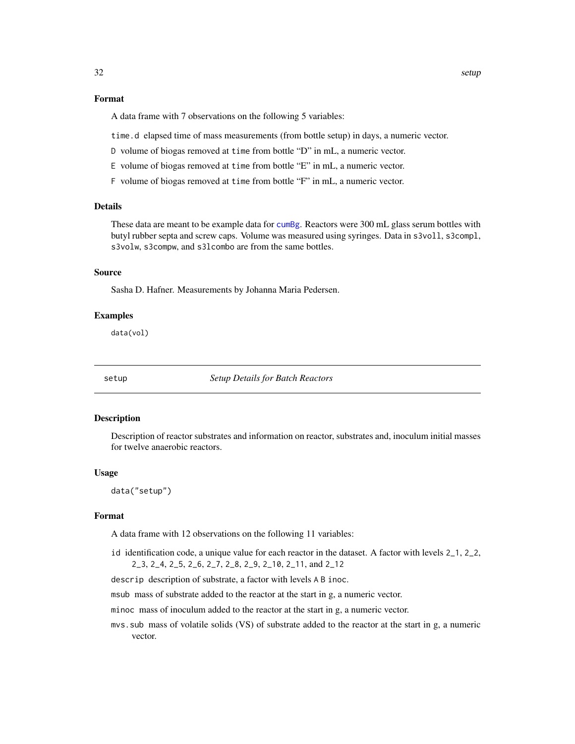#### <span id="page-31-0"></span>Format

A data frame with 7 observations on the following 5 variables:

time.d elapsed time of mass measurements (from bottle setup) in days, a numeric vector.

- D volume of biogas removed at time from bottle "D" in mL, a numeric vector.
- E volume of biogas removed at time from bottle "E" in mL, a numeric vector.
- F volume of biogas removed at time from bottle "F" in mL, a numeric vector.

#### Details

These data are meant to be example data for [cumBg](#page-5-1). Reactors were 300 mL glass serum bottles with butyl rubber septa and screw caps. Volume was measured using syringes. Data in s3voll, s3compl, s3volw, s3compw, and s31combo are from the same bottles.

#### Source

Sasha D. Hafner. Measurements by Johanna Maria Pedersen.

#### Examples

data(vol)

setup *Setup Details for Batch Reactors*

#### Description

Description of reactor substrates and information on reactor, substrates and, inoculum initial masses for twelve anaerobic reactors.

#### Usage

data("setup")

#### Format

A data frame with 12 observations on the following 11 variables:

id identification code, a unique value for each reactor in the dataset. A factor with levels 2\_1, 2\_2, 2\_3, 2\_4, 2\_5, 2\_6, 2\_7, 2\_8, 2\_9, 2\_10, 2\_11, and 2\_12

descrip description of substrate, a factor with levels A B inoc.

msub mass of substrate added to the reactor at the start in g, a numeric vector.

minoc mass of inoculum added to the reactor at the start in g, a numeric vector.

mvs.sub mass of volatile solids (VS) of substrate added to the reactor at the start in g, a numeric vector.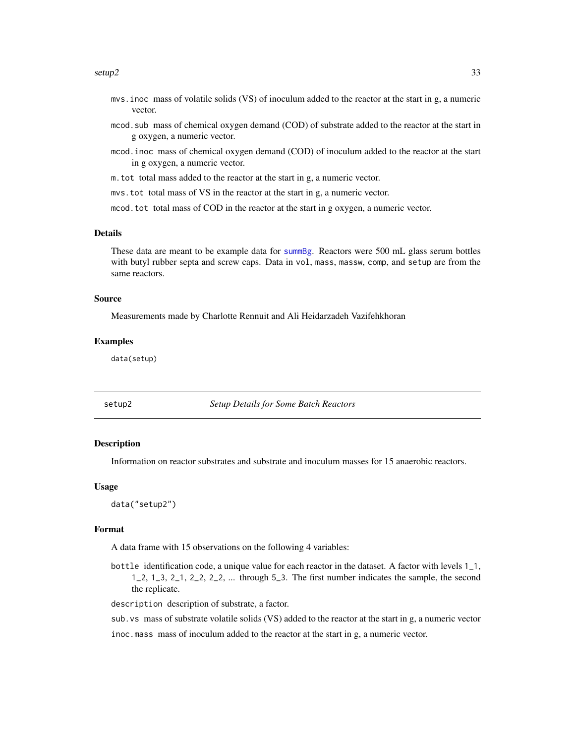#### <span id="page-32-0"></span> $setup2$  33

- mvs.inoc mass of volatile solids (VS) of inoculum added to the reactor at the start in g, a numeric vector.
- mcod.sub mass of chemical oxygen demand (COD) of substrate added to the reactor at the start in g oxygen, a numeric vector.
- mcod.inoc mass of chemical oxygen demand (COD) of inoculum added to the reactor at the start in g oxygen, a numeric vector.
- m.tot total mass added to the reactor at the start in g, a numeric vector.

mvs.tot total mass of VS in the reactor at the start in g, a numeric vector.

mcod.tot total mass of COD in the reactor at the start in g oxygen, a numeric vector.

#### Details

These data are meant to be example data for [summBg](#page-39-1). Reactors were 500 mL glass serum bottles with butyl rubber septa and screw caps. Data in vol, mass, massw, comp, and setup are from the same reactors.

#### Source

Measurements made by Charlotte Rennuit and Ali Heidarzadeh Vazifehkhoran

#### Examples

data(setup)

setup2 *Setup Details for Some Batch Reactors*

#### **Description**

Information on reactor substrates and substrate and inoculum masses for 15 anaerobic reactors.

#### Usage

data("setup2")

#### Format

A data frame with 15 observations on the following 4 variables:

bottle identification code, a unique value for each reactor in the dataset. A factor with levels 1\_1,  $1, 2, 1, 3, 2, 1, 2, 2, 2, 2, 2, \ldots$  through 5.3. The first number indicates the sample, the second the replicate.

description description of substrate, a factor.

sub.vs mass of substrate volatile solids (VS) added to the reactor at the start in g, a numeric vector

inoc.mass mass of inoculum added to the reactor at the start in g, a numeric vector.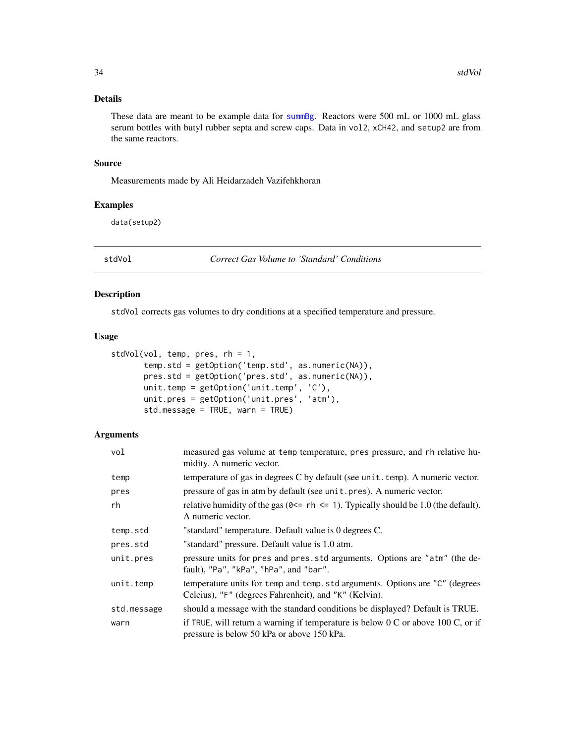#### <span id="page-33-0"></span>Details

These data are meant to be example data for [summBg](#page-39-1). Reactors were 500 mL or 1000 mL glass serum bottles with butyl rubber septa and screw caps. Data in vol2, xCH42, and setup2 are from the same reactors.

#### Source

Measurements made by Ali Heidarzadeh Vazifehkhoran

#### Examples

data(setup2)

<span id="page-33-1"></span>stdVol *Correct Gas Volume to 'Standard' Conditions*

#### Description

stdVol corrects gas volumes to dry conditions at a specified temperature and pressure.

#### Usage

```
stdVol(vol, temp, pres, rh = 1,
       temp.std = getOption('temp.std', as.numeric(NA)),
       pres.std = getOption('pres.std', as.numeric(NA)),
       unit.temp = getOption('unit.temp', 'C'),
       unit.pres = getOption('unit.pres', 'atm'),
       std.message = TRUE, warn = TRUE)
```
#### Arguments

| vol         | measured gas volume at temp temperature, pres pressure, and rh relative hu-<br>midity. A numeric vector.                                 |
|-------------|------------------------------------------------------------------------------------------------------------------------------------------|
| temp        | temperature of gas in degrees C by default (see unit.temp). A numeric vector.                                                            |
| pres        | pressure of gas in atm by default (see unit. pres). A numeric vector.                                                                    |
| rh          | relative humidity of the gas ( $0 \le r$ h $\le 1$ ). Typically should be 1.0 (the default).<br>A numeric vector.                        |
| temp.std    | "standard" temperature. Default value is 0 degrees C.                                                                                    |
| pres.std    | "standard" pressure. Default value is 1.0 atm.                                                                                           |
| unit.pres   | pressure units for pres and pres.std arguments. Options are "atm" (the de-<br>fault), "Pa", "kPa", "hPa", and "bar".                     |
| unit.temp   | temperature units for temp and temp. std arguments. Options are "C" (degrees<br>Celcius), "F" (degrees Fahrenheit), and "K" (Kelvin).    |
| std.message | should a message with the standard conditions be displayed? Default is TRUE.                                                             |
| warn        | if TRUE, will return a warning if temperature is below $0 \text{ C}$ or above 100 C, or if<br>pressure is below 50 kPa or above 150 kPa. |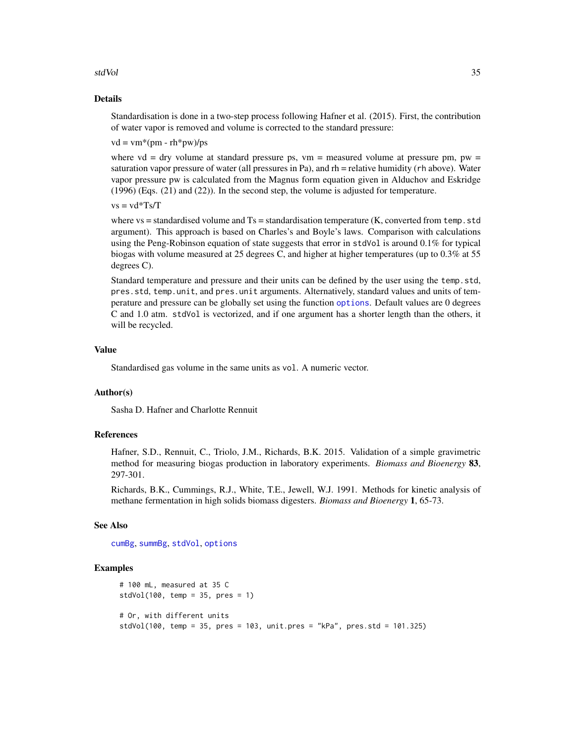#### <span id="page-34-0"></span>stdVol 35

#### Details

Standardisation is done in a two-step process following Hafner et al. (2015). First, the contribution of water vapor is removed and volume is corrected to the standard pressure:

 $vd = \text{vm}*(\text{pm} - \text{rh}*\text{pw})/\text{ps}$ 

where vd = dry volume at standard pressure ps,  $vm$  = measured volume at pressure pm,  $pw$  = saturation vapor pressure of water (all pressures in Pa), and rh = relative humidity (rh above). Water vapor pressure pw is calculated from the Magnus form equation given in Alduchov and Eskridge (1996) (Eqs. (21) and (22)). In the second step, the volume is adjusted for temperature.

 $vs = v d*Ts/T$ 

where  $vs =$  standardised volume and  $Ts =$  standardisation temperature (K, converted from temp. std argument). This approach is based on Charles's and Boyle's laws. Comparison with calculations using the Peng-Robinson equation of state suggests that error in stdVol is around 0.1% for typical biogas with volume measured at 25 degrees C, and higher at higher temperatures (up to 0.3% at 55 degrees C).

Standard temperature and pressure and their units can be defined by the user using the temp.std, pres.std, temp.unit, and pres.unit arguments. Alternatively, standard values and units of temperature and pressure can be globally set using the function [options](#page-0-0). Default values are 0 degrees C and 1.0 atm. stdVol is vectorized, and if one argument has a shorter length than the others, it will be recycled.

#### Value

Standardised gas volume in the same units as vol. A numeric vector.

#### Author(s)

Sasha D. Hafner and Charlotte Rennuit

#### References

Hafner, S.D., Rennuit, C., Triolo, J.M., Richards, B.K. 2015. Validation of a simple gravimetric method for measuring biogas production in laboratory experiments. *Biomass and Bioenergy* 83, 297-301.

Richards, B.K., Cummings, R.J., White, T.E., Jewell, W.J. 1991. Methods for kinetic analysis of methane fermentation in high solids biomass digesters. *Biomass and Bioenergy* 1, 65-73.

#### See Also

[cumBg](#page-5-1), [summBg](#page-39-1), [stdVol](#page-33-1), [options](#page-0-0)

#### Examples

```
# 100 mL, measured at 35 C
stdVol(100, temp = 35, pres = 1)# Or, with different units
stdVol(100, temp = 35, pres = 103, unit.pres = "kPa", pres.std = 101.325)
```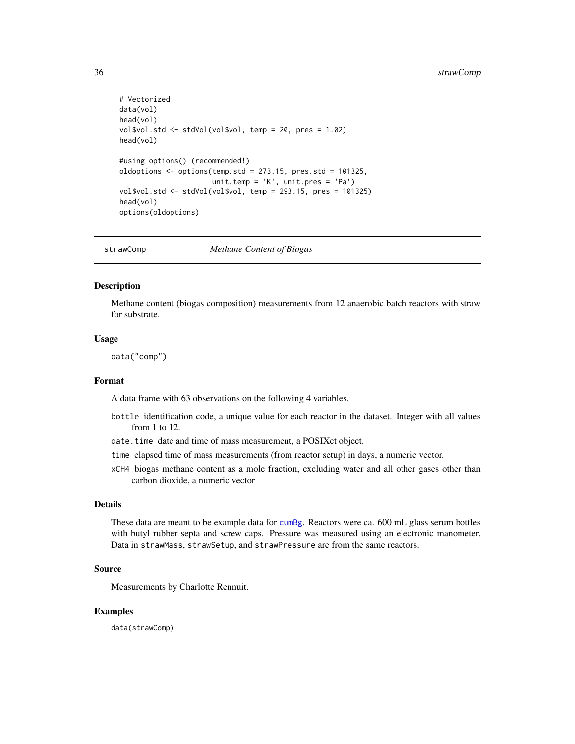```
# Vectorized
data(vol)
head(vol)
vol$vol.std <- stdVol(vol$vol, temp = 20, pres = 1.02)
head(vol)
#using options() (recommended!)
oldoptions <- options(temp.std = 273.15, pres.std = 101325,
                      unit.temp = 'K', unit.pres = 'Pa')
vol$vol.std <- stdVol(vol$vol, temp = 293.15, pres = 101325)
head(vol)
options(oldoptions)
```
strawComp *Methane Content of Biogas*

#### Description

Methane content (biogas composition) measurements from 12 anaerobic batch reactors with straw for substrate.

#### Usage

data("comp")

#### Format

A data frame with 63 observations on the following 4 variables.

- bottle identification code, a unique value for each reactor in the dataset. Integer with all values from 1 to 12.
- date.time date and time of mass measurement, a POSIXct object.
- time elapsed time of mass measurements (from reactor setup) in days, a numeric vector.
- xCH4 biogas methane content as a mole fraction, excluding water and all other gases other than carbon dioxide, a numeric vector

#### Details

These data are meant to be example data for [cumBg](#page-5-1). Reactors were ca. 600 mL glass serum bottles with butyl rubber septa and screw caps. Pressure was measured using an electronic manometer. Data in strawMass, strawSetup, and strawPressure are from the same reactors.

#### Source

Measurements by Charlotte Rennuit.

#### Examples

data(strawComp)

<span id="page-35-0"></span>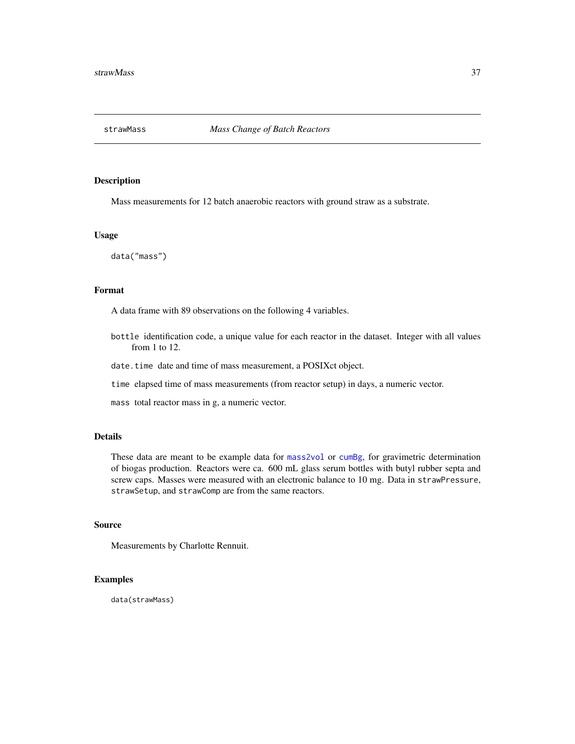<span id="page-36-0"></span>

Mass measurements for 12 batch anaerobic reactors with ground straw as a substrate.

#### Usage

data("mass")

#### Format

A data frame with 89 observations on the following 4 variables.

- bottle identification code, a unique value for each reactor in the dataset. Integer with all values from 1 to 12.
- date.time date and time of mass measurement, a POSIXct object.
- time elapsed time of mass measurements (from reactor setup) in days, a numeric vector.

mass total reactor mass in g, a numeric vector.

#### Details

These data are meant to be example data for [mass2vol](#page-17-1) or [cumBg](#page-5-1), for gravimetric determination of biogas production. Reactors were ca. 600 mL glass serum bottles with butyl rubber septa and screw caps. Masses were measured with an electronic balance to 10 mg. Data in strawPressure, strawSetup, and strawComp are from the same reactors.

#### Source

Measurements by Charlotte Rennuit.

#### Examples

data(strawMass)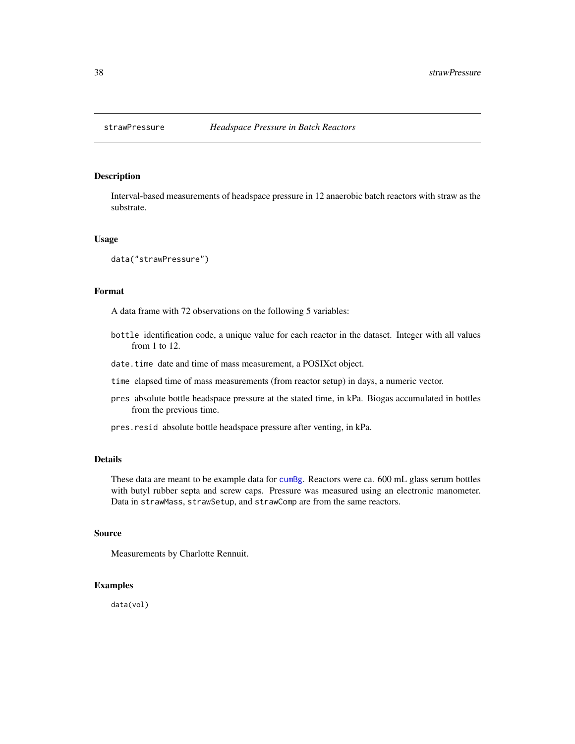<span id="page-37-0"></span>

Interval-based measurements of headspace pressure in 12 anaerobic batch reactors with straw as the substrate.

#### Usage

```
data("strawPressure")
```
#### Format

A data frame with 72 observations on the following 5 variables:

- bottle identification code, a unique value for each reactor in the dataset. Integer with all values from 1 to 12.
- date.time date and time of mass measurement, a POSIXct object.
- time elapsed time of mass measurements (from reactor setup) in days, a numeric vector.
- pres absolute bottle headspace pressure at the stated time, in kPa. Biogas accumulated in bottles from the previous time.
- pres.resid absolute bottle headspace pressure after venting, in kPa.

#### Details

These data are meant to be example data for [cumBg](#page-5-1). Reactors were ca. 600 mL glass serum bottles with butyl rubber septa and screw caps. Pressure was measured using an electronic manometer. Data in strawMass, strawSetup, and strawComp are from the same reactors.

#### Source

Measurements by Charlotte Rennuit.

#### Examples

data(vol)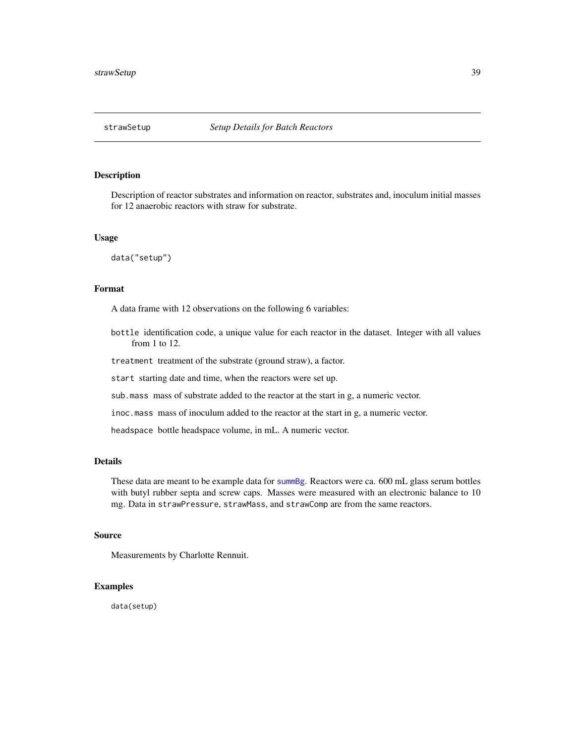<span id="page-38-0"></span>

Description of reactor substrates and information on reactor, substrates and, inoculum initial masses for 12 anaerobic reactors with straw for substrate.

#### Usage

data("setup")

#### Format

A data frame with 12 observations on the following 6 variables:

bottle identification code, a unique value for each reactor in the dataset. Integer with all values from 1 to 12.

treatment treatment of the substrate (ground straw), a factor.

start starting date and time, when the reactors were set up.

sub.mass mass of substrate added to the reactor at the start in g, a numeric vector.

inoc.mass mass of inoculum added to the reactor at the start in g, a numeric vector.

headspace bottle headspace volume, in mL. A numeric vector.

#### Details

These data are meant to be example data for [summBg](#page-39-1). Reactors were ca. 600 mL glass serum bottles with butyl rubber septa and screw caps. Masses were measured with an electronic balance to 10 mg. Data in strawPressure, strawMass, and strawComp are from the same reactors.

#### Source

Measurements by Charlotte Rennuit.

#### Examples

data(setup)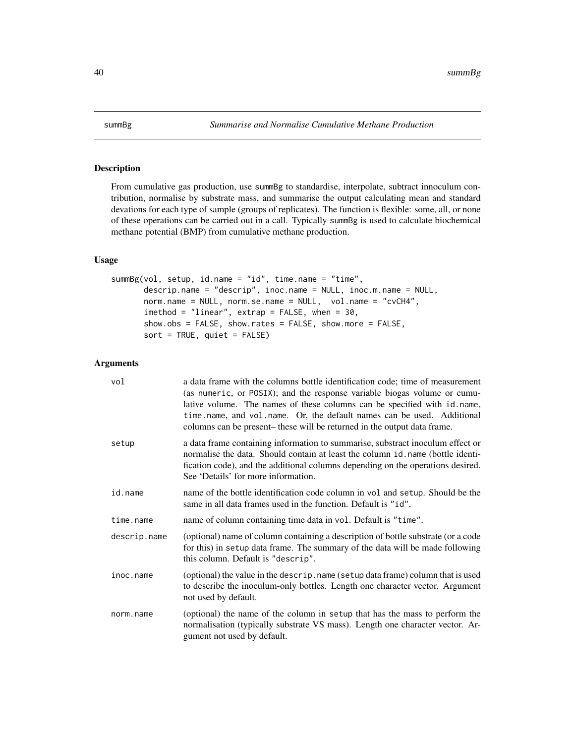<span id="page-39-1"></span><span id="page-39-0"></span>

From cumulative gas production, use summBg to standardise, interpolate, subtract innoculum contribution, normalise by substrate mass, and summarise the output calculating mean and standard devations for each type of sample (groups of replicates). The function is flexible: some, all, or none of these operations can be carried out in a call. Typically summBg is used to calculate biochemical methane potential (BMP) from cumulative methane production.

#### Usage

```
summBg(vol, setup, id.name = "id", time.name = "time",
      descrip.name = "descrip", inoc.name = NULL, inoc.m.name = NULL,
      norm.name = NULL, norm.se.name = NULL, vol.name = "cvCH4",
      imethod = "linear", extrap = FALSE, when = 30,
      show.obs = FALSE, show.rates = FALSE, show.more = FALSE,
      sort = TRUE, quiet = FALSE)
```
#### Arguments

| vol          | a data frame with the columns bottle identification code; time of measurement<br>(as numeric, or POSIX); and the response variable biogas volume or cumu-<br>lative volume. The names of these columns can be specified with id.name,<br>time.name, and vol.name. Or, the default names can be used. Additional<br>columns can be present- these will be returned in the output data frame. |
|--------------|---------------------------------------------------------------------------------------------------------------------------------------------------------------------------------------------------------------------------------------------------------------------------------------------------------------------------------------------------------------------------------------------|
| setup        | a data frame containing information to summarise, substract inoculum effect or<br>normalise the data. Should contain at least the column id.name (bottle identi-<br>fication code), and the additional columns depending on the operations desired.<br>See 'Details' for more information.                                                                                                  |
| id.name      | name of the bottle identification code column in vol and setup. Should be the<br>same in all data frames used in the function. Default is "id".                                                                                                                                                                                                                                             |
| time.name    | name of column containing time data in vol. Default is "time".                                                                                                                                                                                                                                                                                                                              |
| descrip.name | (optional) name of column containing a description of bottle substrate (or a code<br>for this) in setup data frame. The summary of the data will be made following<br>this column. Default is "descrip".                                                                                                                                                                                    |
| inoc.name    | (optional) the value in the descrip. name (setup data frame) column that is used<br>to describe the inoculum-only bottles. Length one character vector. Argument<br>not used by default.                                                                                                                                                                                                    |
| norm.name    | (optional) the name of the column in setup that has the mass to perform the<br>normalisation (typically substrate VS mass). Length one character vector. Ar-<br>gument not used by default.                                                                                                                                                                                                 |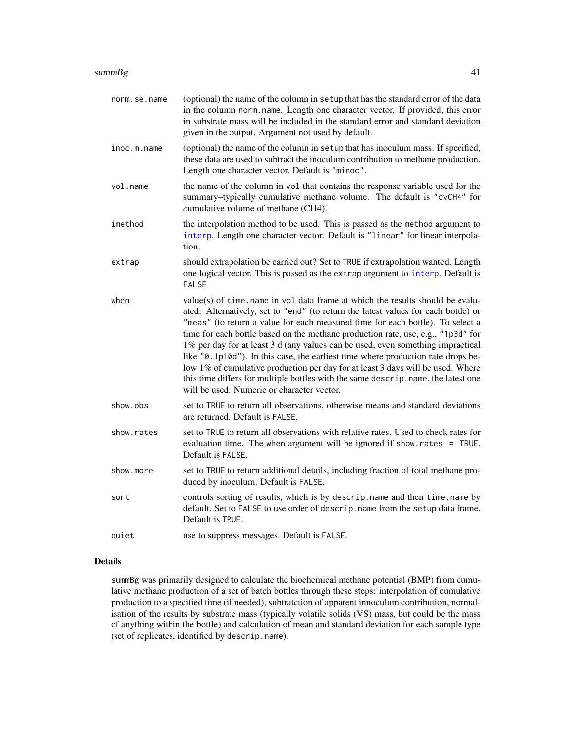<span id="page-40-0"></span>

| norm.se.name | (optional) the name of the column in setup that has the standard error of the data<br>in the column norm. name. Length one character vector. If provided, this error<br>in substrate mass will be included in the standard error and standard deviation<br>given in the output. Argument not used by default.                                                                                                                                                                                                                                                                                                                                                                                                                            |
|--------------|------------------------------------------------------------------------------------------------------------------------------------------------------------------------------------------------------------------------------------------------------------------------------------------------------------------------------------------------------------------------------------------------------------------------------------------------------------------------------------------------------------------------------------------------------------------------------------------------------------------------------------------------------------------------------------------------------------------------------------------|
| inoc.m.name  | (optional) the name of the column in setup that has inoculum mass. If specified,<br>these data are used to subtract the inoculum contribution to methane production.<br>Length one character vector. Default is "minoc".                                                                                                                                                                                                                                                                                                                                                                                                                                                                                                                 |
| vol.name     | the name of the column in vol that contains the response variable used for the<br>summary-typically cumulative methane volume. The default is "cvCH4" for<br>cumulative volume of methane (CH4).                                                                                                                                                                                                                                                                                                                                                                                                                                                                                                                                         |
| imethod      | the interpolation method to be used. This is passed as the method argument to<br>interp. Length one character vector. Default is "linear" for linear interpola-<br>tion.                                                                                                                                                                                                                                                                                                                                                                                                                                                                                                                                                                 |
| extrap       | should extrapolation be carried out? Set to TRUE if extrapolation wanted. Length<br>one logical vector. This is passed as the extrap argument to interp. Default is<br><b>FALSE</b>                                                                                                                                                                                                                                                                                                                                                                                                                                                                                                                                                      |
| when         | value(s) of time. name in vol data frame at which the results should be evalu-<br>ated. Alternatively, set to "end" (to return the latest values for each bottle) or<br>"meas" (to return a value for each measured time for each bottle). To select a<br>time for each bottle based on the methane production rate, use, e.g., "1p3d" for<br>1% per day for at least 3 d (any values can be used, even something impractical<br>like "0.1p10d"). In this case, the earliest time where production rate drops be-<br>low 1% of cumulative production per day for at least 3 days will be used. Where<br>this time differs for multiple bottles with the same descrip. name, the latest one<br>will be used. Numeric or character vector. |
| show.obs     | set to TRUE to return all observations, otherwise means and standard deviations<br>are returned. Default is FALSE.                                                                                                                                                                                                                                                                                                                                                                                                                                                                                                                                                                                                                       |
| show.rates   | set to TRUE to return all observations with relative rates. Used to check rates for<br>evaluation time. The when argument will be ignored if show.rates = TRUE.<br>Default is FALSE.                                                                                                                                                                                                                                                                                                                                                                                                                                                                                                                                                     |
| show.more    | set to TRUE to return additional details, including fraction of total methane pro-<br>duced by inoculum. Default is FALSE.                                                                                                                                                                                                                                                                                                                                                                                                                                                                                                                                                                                                               |
| sort         | controls sorting of results, which is by descrip. name and then time. name by<br>default. Set to FALSE to use order of descrip. name from the setup data frame.<br>Default is TRUE.                                                                                                                                                                                                                                                                                                                                                                                                                                                                                                                                                      |
| quiet        | use to suppress messages. Default is FALSE.                                                                                                                                                                                                                                                                                                                                                                                                                                                                                                                                                                                                                                                                                              |

#### Details

summBg was primarily designed to calculate the biochemical methane potential (BMP) from cumulative methane production of a set of batch bottles through these steps: interpolation of cumulative production to a specified time (if needed), subtratction of apparent innoculum contribution, normalisation of the results by substrate mass (typically volatile solids (VS) mass, but could be the mass of anything within the bottle) and calculation of mean and standard deviation for each sample type (set of replicates, identified by descrip.name).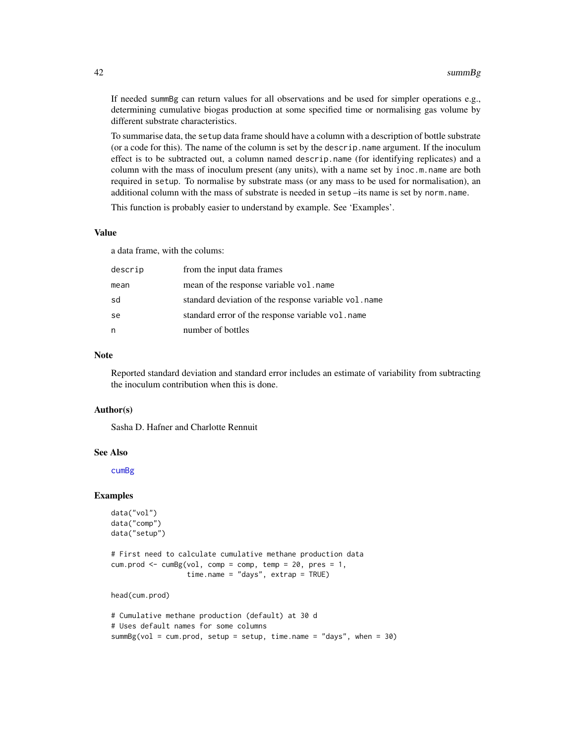If needed summBg can return values for all observations and be used for simpler operations e.g., determining cumulative biogas production at some specified time or normalising gas volume by different substrate characteristics.

To summarise data, the setup data frame should have a column with a description of bottle substrate (or a code for this). The name of the column is set by the descrip.name argument. If the inoculum effect is to be subtracted out, a column named descrip.name (for identifying replicates) and a column with the mass of inoculum present (any units), with a name set by inoc.m.name are both required in setup. To normalise by substrate mass (or any mass to be used for normalisation), an additional column with the mass of substrate is needed in setup –its name is set by norm.name.

This function is probably easier to understand by example. See 'Examples'.

#### Value

a data frame, with the colums:

| descrip | from the input data frames                            |
|---------|-------------------------------------------------------|
| mean    | mean of the response variable vol. name               |
| sd      | standard deviation of the response variable vol. name |
| se      | standard error of the response variable vol. name     |
| n       | number of bottles                                     |

#### Note

Reported standard deviation and standard error includes an estimate of variability from subtracting the inoculum contribution when this is done.

#### Author(s)

Sasha D. Hafner and Charlotte Rennuit

#### See Also

[cumBg](#page-5-1)

#### Examples

```
data("vol")
data("comp")
data("setup")
```

```
# First need to calculate cumulative methane production data
cum.prod \leq cumBg(vol, comp = comp, temp = 20, pres = 1,
                  time.name = "days", extrap = TRUE)
```
head(cum.prod)

```
# Cumulative methane production (default) at 30 d
# Uses default names for some columns
summBg(vol = cum.prod, setup = setup, time.name = "days", when = 30)
```
<span id="page-41-0"></span>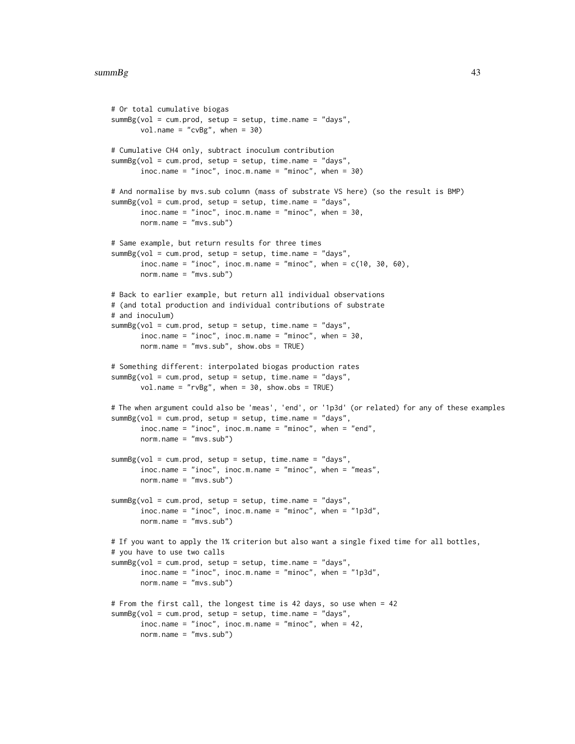```
# Or total cumulative biogas
summBg(vol = cum.prod, setup = setup, time.name = "days",
       vol.name = "cvBg", when = 30)# Cumulative CH4 only, subtract inoculum contribution
summBg(vol = cum.prod, setup = setup, time.name = "days",
       inoc.name = "inoc", inoc.m.name = "minoc", when = 30)
# And normalise by mvs.sub column (mass of substrate VS here) (so the result is BMP)
summBg(vol = cum.prod, setup = setup, time.name = "days",
       \text{inoc.name} = \text{"inoc", inoc.m.name} = \text{"minoc", when} = 30,norm.name = "mvs.sub")
# Same example, but return results for three times
summBg(vol = cum.prod, setup = setup, time.name = "days",
       \text{inoc.name} = \text{"inoc", inoc.m.name} = \text{"minoc", when} = c(10, 30, 60),norm.name = "mvs.sub")
# Back to earlier example, but return all individual observations
# (and total production and individual contributions of substrate
# and inoculum)
summBg(vol = cum.prod, setup = setup, time.name = "days",
       \text{inoc.name} = \text{"inoc", inoc.m.name} = \text{"minoc", when} = 30,norm.name = "mvs.sub", show.obs = TRUE)
# Something different: interpolated biogas production rates
summBg(vol = cum.prod, setup = setup, time.name = "days",
       vol.name = "rvBg", when = 30, show.obs = TRUE)
# The when argument could also be 'meas', 'end', or '1p3d' (or related) for any of these examples
summBg(vol = cum.prod, setup = setup, time.name = "days",
       inoc.name = "inoc", inoc.m.name = "minoc", when = "end",
       norm.name = "mvs.sub")
summBg(vol = cum.prod, setup = setup, time.name = "days",
       inoc.name = "inoc", inoc.m.name = "minoc", when = "meas",
       norm.name = "mvs.sub")
summBg(vol = cum.prod, setup = setup, time.name = "days",
       inoc.name = "inoc", inoc.m.name = "minoc", when = "1p3d",
       norm.name = "mvs.sub")
# If you want to apply the 1% criterion but also want a single fixed time for all bottles,
# you have to use two calls
summBg(vol = cum.prod, setup = setup, time.name = "days",
       \text{inoc.name} = \text{"inoc", inoc.m.name} = \text{"minoc", when} = \text{"1p3d",}norm.name = "mvs.sub")
# From the first call, the longest time is 42 days, so use when = 42
summBg(vol = cum.prod, setup = setup, time.name = "days",
       inoc.name = "inoc", inoc.m.name = "minoc", when = 42,
       norm.name = "mvs.sub")
```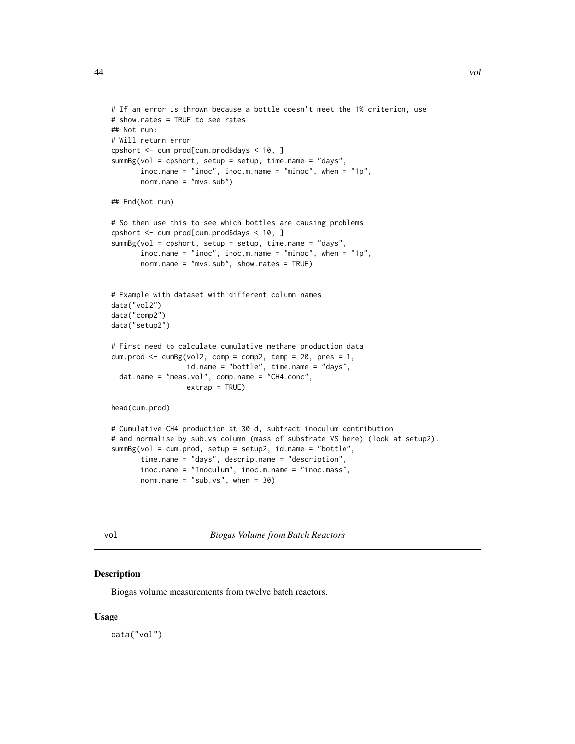## Not run:

```
# If an error is thrown because a bottle doesn't meet the 1% criterion, use
# show.rates = TRUE to see rates
# Will return error
cpshort <- cum.prod[cum.prod$days < 10, ]
summBg(vol = cpshort, setup = setup, time.name = "days",
      inoc.name = "inoc", inoc.m.name = "minoc", when = "1p",
      norm.name = "mvs.sub")
## End(Not run)
# So then use this to see which bottles are causing problems
cpshort <- cum.prod[cum.prod$days < 10, ]
summBg(vol = cpshort, setup = setup, time.name = "days",
      inoc.name = "inoc", inoc.m.name = "minoc", when = "1p",
      norm.name = "mvs.sub", show.rates = TRUE)
# Example with dataset with different column names
data("vol2")
data("comp2")
data("setup2")
# First need to calculate cumulative methane production data
cum.prod \leq cumBg(vol2, comp = comp2, temp = 20, pres = 1,
```

```
id.name = "bottle", time.name = "days",
dat.name = "meas.vol", comp.name = "CH4.conc",
                extrap = TRUE)
```
head(cum.prod)

```
# Cumulative CH4 production at 30 d, subtract inoculum contribution
# and normalise by sub.vs column (mass of substrate VS here) (look at setup2).
summBg(vol = cum.prod, setup = setup2, id.name = "bottle",
      time.name = "days", descrip.name = "description",
      inoc.name = "Inoculum", inoc.m.name = "inoc.mass",
      norm.name = "sub.vs", when = 30)
```
vol *Biogas Volume from Batch Reactors*

#### Description

Biogas volume measurements from twelve batch reactors.

#### Usage

data("vol")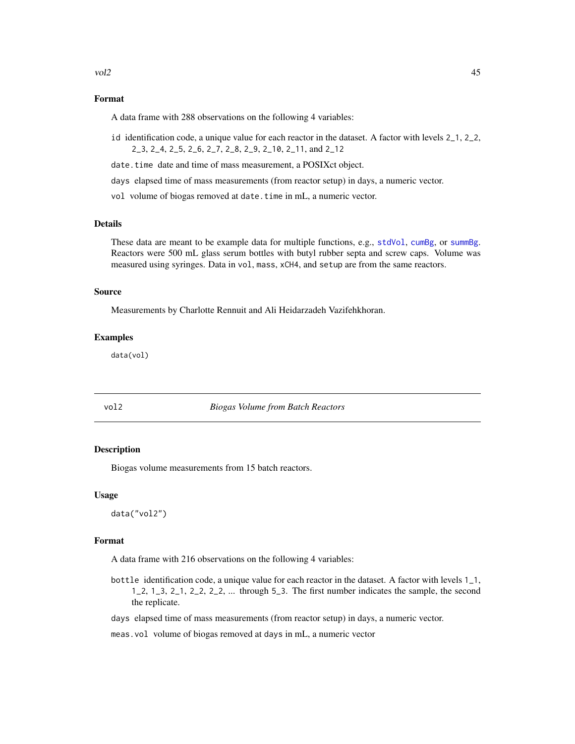#### <span id="page-44-0"></span>Format

A data frame with 288 observations on the following 4 variables:

- id identification code, a unique value for each reactor in the dataset. A factor with levels 2\_1, 2\_2, 2\_3, 2\_4, 2\_5, 2\_6, 2\_7, 2\_8, 2\_9, 2\_10, 2\_11, and 2\_12
- date.time date and time of mass measurement, a POSIXct object.
- days elapsed time of mass measurements (from reactor setup) in days, a numeric vector.
- vol volume of biogas removed at date.time in mL, a numeric vector.

#### Details

These data are meant to be example data for multiple functions, e.g., [stdVol](#page-33-1), [cumBg](#page-5-1), or [summBg](#page-39-1). Reactors were 500 mL glass serum bottles with butyl rubber septa and screw caps. Volume was measured using syringes. Data in vol, mass, xCH4, and setup are from the same reactors.

#### Source

Measurements by Charlotte Rennuit and Ali Heidarzadeh Vazifehkhoran.

#### Examples

data(vol)

#### vol2 *Biogas Volume from Batch Reactors*

#### Description

Biogas volume measurements from 15 batch reactors.

#### Usage

data("vol2")

#### Format

A data frame with 216 observations on the following 4 variables:

bottle identification code, a unique value for each reactor in the dataset. A factor with levels 1\_1,  $1, 2, 1, 3, 2, 1, 2, 2, 2, 2, \ldots$  through 5.3. The first number indicates the sample, the second the replicate.

days elapsed time of mass measurements (from reactor setup) in days, a numeric vector.

meas.vol volume of biogas removed at days in mL, a numeric vector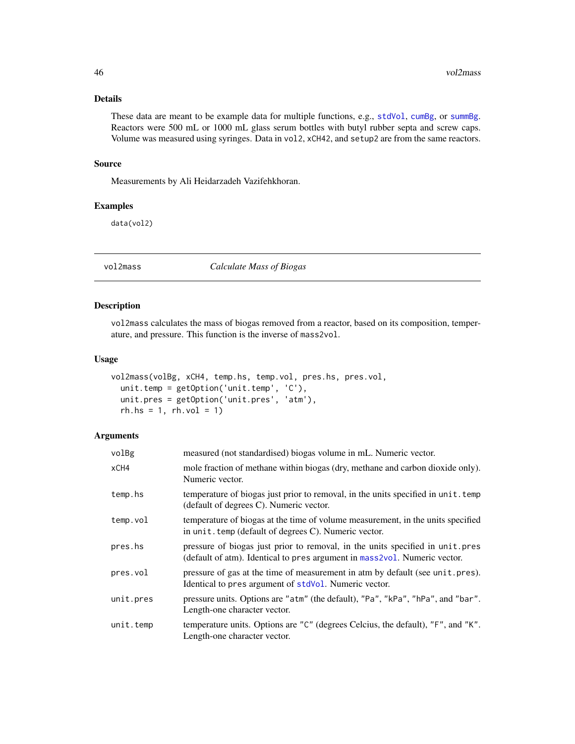#### <span id="page-45-0"></span>Details

These data are meant to be example data for multiple functions, e.g., [stdVol](#page-33-1), [cumBg](#page-5-1), or [summBg](#page-39-1). Reactors were 500 mL or 1000 mL glass serum bottles with butyl rubber septa and screw caps. Volume was measured using syringes. Data in vol2, xCH42, and setup2 are from the same reactors.

#### Source

Measurements by Ali Heidarzadeh Vazifehkhoran.

#### Examples

data(vol2)

<span id="page-45-1"></span>vol2mass *Calculate Mass of Biogas*

#### Description

vol2mass calculates the mass of biogas removed from a reactor, based on its composition, temperature, and pressure. This function is the inverse of mass2vol.

#### Usage

```
vol2mass(volBg, xCH4, temp.hs, temp.vol, pres.hs, pres.vol,
  unit.temp = getOption('unit.temp', 'C'),
 unit.pres = getOption('unit.pres', 'atm'),
  rh.s = 1, rh.vol = 1)
```
#### Arguments

| volBg     | measured (not standardised) biogas volume in mL. Numeric vector.                                                                                           |
|-----------|------------------------------------------------------------------------------------------------------------------------------------------------------------|
| xCH4      | mole fraction of methane within biogas (dry, methane and carbon dioxide only).<br>Numeric vector.                                                          |
| temp.hs   | temperature of biogas just prior to removal, in the units specified in unit. temp<br>(default of degrees C). Numeric vector.                               |
| temp.vol  | temperature of biogas at the time of volume measurement, in the units specified<br>in unit. temp (default of degrees C). Numeric vector.                   |
| pres.hs   | pressure of biogas just prior to removal, in the units specified in unit.pres<br>(default of atm). Identical to pres argument in mass2vol. Numeric vector. |
| pres.vol  | pressure of gas at the time of measurement in atm by default (see unit.pres).<br>Identical to pres argument of stdVol. Numeric vector.                     |
| unit.pres | pressure units. Options are "atm" (the default), "Pa", "kPa", "hPa", and "bar".<br>Length-one character vector.                                            |
| unit.temp | temperature units. Options are "C" (degrees Celcius, the default), "F", and "K".<br>Length-one character vector.                                           |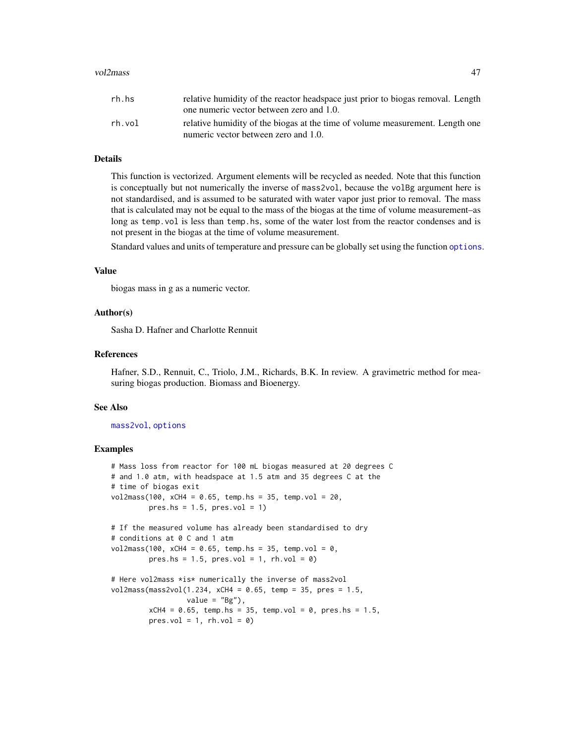#### <span id="page-46-0"></span>vol2mass **47**

| rh.hs  | relative humidity of the reactor headspace just prior to biogas removal. Length |
|--------|---------------------------------------------------------------------------------|
|        | one numeric vector between zero and 1.0.                                        |
| rh.vol | relative humidity of the biogas at the time of volume measurement. Length one   |
|        | numeric vector between zero and 1.0.                                            |

#### Details

This function is vectorized. Argument elements will be recycled as needed. Note that this function is conceptually but not numerically the inverse of mass2vol, because the volBg argument here is not standardised, and is assumed to be saturated with water vapor just prior to removal. The mass that is calculated may not be equal to the mass of the biogas at the time of volume measurement–as long as temp. vol is less than temp. hs, some of the water lost from the reactor condenses and is not present in the biogas at the time of volume measurement.

Standard values and units of temperature and pressure can be globally set using the function [options](#page-0-0).

#### Value

biogas mass in g as a numeric vector.

#### Author(s)

Sasha D. Hafner and Charlotte Rennuit

#### References

Hafner, S.D., Rennuit, C., Triolo, J.M., Richards, B.K. In review. A gravimetric method for measuring biogas production. Biomass and Bioenergy.

#### See Also

#### [mass2vol](#page-17-1), [options](#page-0-0)

#### Examples

```
# Mass loss from reactor for 100 mL biogas measured at 20 degrees C
# and 1.0 atm, with headspace at 1.5 atm and 35 degrees C at the
# time of biogas exit
vol2mass(100, xCH4 = 0.65, temp.hs = 35, temp.vol = 20,
        pres.hs = 1.5, pres.vol = 1)# If the measured volume has already been standardised to dry
# conditions at 0 C and 1 atm
vol2mass(100, xCH4 = 0.65, temp.hs = 35, temp.vol = 0,
        pres.hs = 1.5, pres.vol = 1, rh.vol = 0)
# Here vol2mass *is* numerically the inverse of mass2vol
vol2mass(mass2vol(1.234, xCH4 = 0.65, temp = 35, pres = 1.5,
                  value = "Bg"),
         xCH4 = 0.65, temp.hs = 35, temp.vol = 0, pres.hs = 1.5,
        pres.vol = 1, rh.vol = 0)
```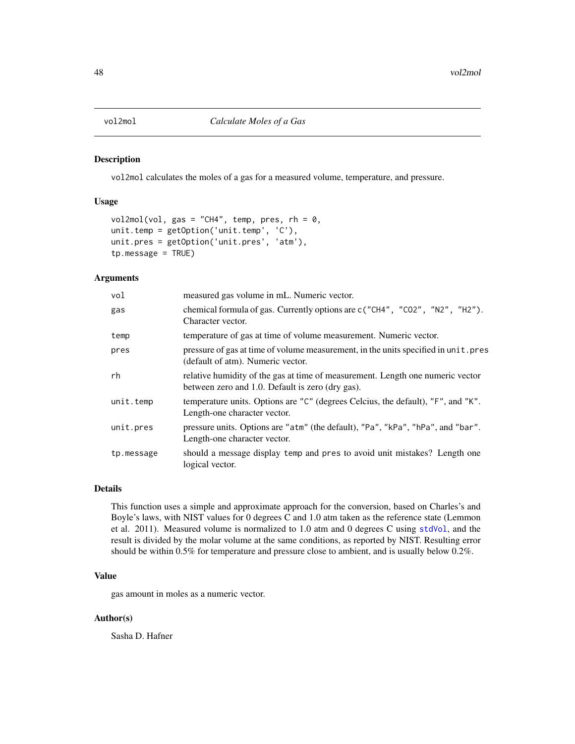<span id="page-47-0"></span>

vol2mol calculates the moles of a gas for a measured volume, temperature, and pressure.

#### Usage

```
vol2mol(vol, gas = "CH4", temp, pres, rh = 0,unit.temp = getOption('unit.temp', 'C'),
unit.pres = getOption('unit.pres', 'atm'),
tp.message = TRUE)
```
#### Arguments

| vol        | measured gas volume in mL. Numeric vector.                                                                                         |
|------------|------------------------------------------------------------------------------------------------------------------------------------|
| gas        | chemical formula of gas. Currently options are c("CH4", "CO2", "N2", "H2").<br>Character vector.                                   |
| temp       | temperature of gas at time of volume measurement. Numeric vector.                                                                  |
| pres       | pressure of gas at time of volume measurement, in the units specified in unit. pres<br>(default of atm). Numeric vector.           |
| rh         | relative humidity of the gas at time of measurement. Length one numeric vector<br>between zero and 1.0. Default is zero (dry gas). |
| unit.temp  | temperature units. Options are "C" (degrees Celcius, the default), "F", and "K".<br>Length-one character vector.                   |
| unit.pres  | pressure units. Options are "atm" (the default), "Pa", "kPa", "hPa", and "bar".<br>Length-one character vector.                    |
| tp.message | should a message display temp and pres to avoid unit mistakes? Length one<br>logical vector.                                       |

#### Details

This function uses a simple and approximate approach for the conversion, based on Charles's and Boyle's laws, with NIST values for 0 degrees C and 1.0 atm taken as the reference state (Lemmon et al. 2011). Measured volume is normalized to 1.0 atm and 0 degrees C using [stdVol](#page-33-1), and the result is divided by the molar volume at the same conditions, as reported by NIST. Resulting error should be within 0.5% for temperature and pressure close to ambient, and is usually below 0.2%.

#### Value

gas amount in moles as a numeric vector.

#### Author(s)

Sasha D. Hafner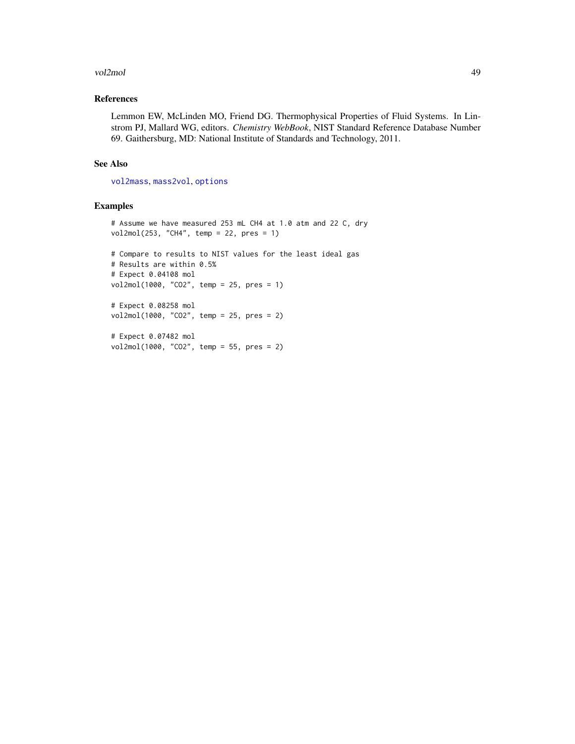#### <span id="page-48-0"></span>vol2mol 49

#### References

Lemmon EW, McLinden MO, Friend DG. Thermophysical Properties of Fluid Systems. In Linstrom PJ, Mallard WG, editors. *Chemistry WebBook*, NIST Standard Reference Database Number 69. Gaithersburg, MD: National Institute of Standards and Technology, 2011.

#### See Also

[vol2mass](#page-45-1), [mass2vol](#page-17-1), [options](#page-0-0)

#### Examples

```
# Assume we have measured 253 mL CH4 at 1.0 atm and 22 C, dry
vol2mol(253, "CH4", temp = 22, pres = 1)
# Compare to results to NIST values for the least ideal gas
# Results are within 0.5%
# Expect 0.04108 mol
vol2mol(1000, "CO2", temp = 25, pres = 1)
# Expect 0.08258 mol
vol2mol(1000, "CO2", temp = 25, pres = 2)
# Expect 0.07482 mol
```

```
vol2mol(1000, "CO2", temp = 55, pres = 2)
```